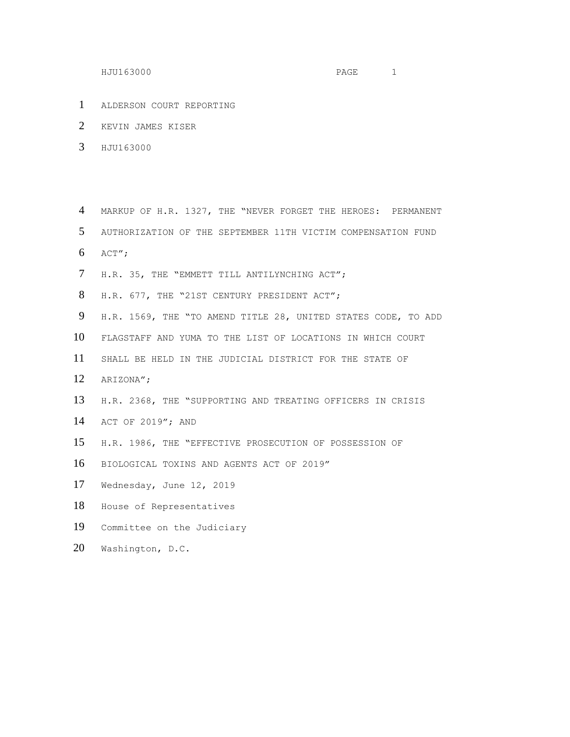- ALDERSON COURT REPORTING
- KEVIN JAMES KISER
- HJU163000

 MARKUP OF H.R. 1327, THE "NEVER FORGET THE HEROES: PERMANENT AUTHORIZATION OF THE SEPTEMBER 11TH VICTIM COMPENSATION FUND ACT";

- 
- H.R. 35, THE "EMMETT TILL ANTILYNCHING ACT";
- H.R. 677, THE "21ST CENTURY PRESIDENT ACT";
- H.R. 1569, THE "TO AMEND TITLE 28, UNITED STATES CODE, TO ADD
- FLAGSTAFF AND YUMA TO THE LIST OF LOCATIONS IN WHICH COURT
- SHALL BE HELD IN THE JUDICIAL DISTRICT FOR THE STATE OF
- ARIZONA";
- H.R. 2368, THE "SUPPORTING AND TREATING OFFICERS IN CRISIS
- ACT OF 2019"; AND
- H.R. 1986, THE "EFFECTIVE PROSECUTION OF POSSESSION OF
- BIOLOGICAL TOXINS AND AGENTS ACT OF 2019"
- Wednesday, June 12, 2019
- House of Representatives
- Committee on the Judiciary
- Washington, D.C.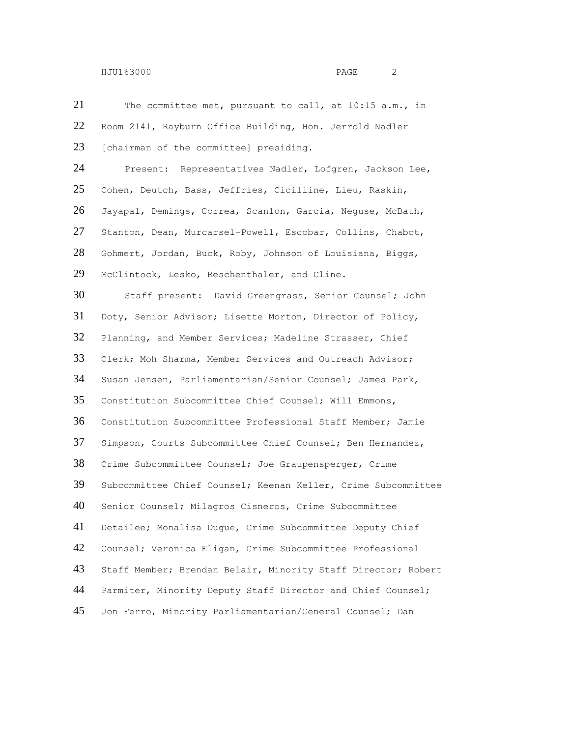The committee met, pursuant to call, at 10:15 a.m., in Room 2141, Rayburn Office Building, Hon. Jerrold Nadler 23 [chairman of the committee] presiding. Present: Representatives Nadler, Lofgren, Jackson Lee, Cohen, Deutch, Bass, Jeffries, Cicilline, Lieu, Raskin, Jayapal, Demings, Correa, Scanlon, Garcia, Neguse, McBath, Stanton, Dean, Murcarsel-Powell, Escobar, Collins, Chabot, Gohmert, Jordan, Buck, Roby, Johnson of Louisiana, Biggs, McClintock, Lesko, Reschenthaler, and Cline. Staff present: David Greengrass, Senior Counsel; John Doty, Senior Advisor; Lisette Morton, Director of Policy, Planning, and Member Services; Madeline Strasser, Chief Clerk; Moh Sharma, Member Services and Outreach Advisor; Susan Jensen, Parliamentarian/Senior Counsel; James Park, Constitution Subcommittee Chief Counsel; Will Emmons, Constitution Subcommittee Professional Staff Member; Jamie Simpson, Courts Subcommittee Chief Counsel; Ben Hernandez, Crime Subcommittee Counsel; Joe Graupensperger, Crime Subcommittee Chief Counsel; Keenan Keller, Crime Subcommittee Senior Counsel; Milagros Cisneros, Crime Subcommittee Detailee; Monalisa Dugue, Crime Subcommittee Deputy Chief Counsel; Veronica Eligan, Crime Subcommittee Professional Staff Member; Brendan Belair, Minority Staff Director; Robert Parmiter, Minority Deputy Staff Director and Chief Counsel; Jon Ferro, Minority Parliamentarian/General Counsel; Dan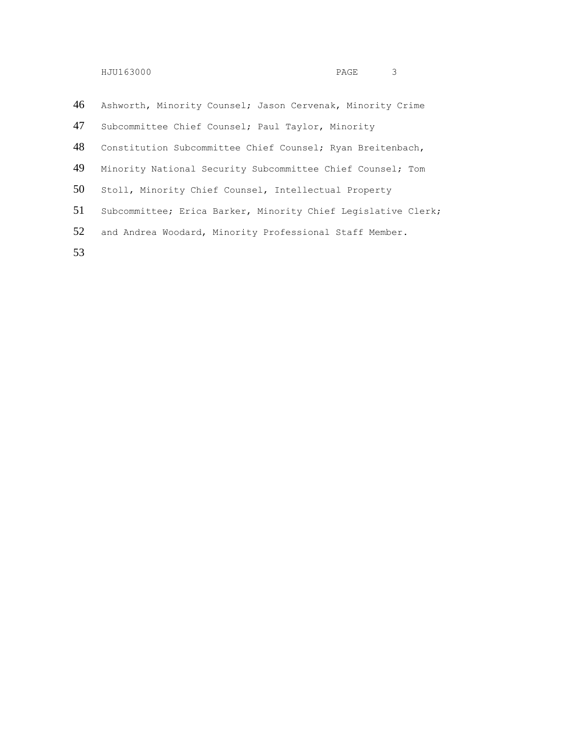| 46 | Ashworth, Minority Counsel; Jason Cervenak, Minority Crime    |
|----|---------------------------------------------------------------|
| 47 | Subcommittee Chief Counsel; Paul Taylor, Minority             |
| 48 | Constitution Subcommittee Chief Counsel; Ryan Breitenbach,    |
| 49 | Minority National Security Subcommittee Chief Counsel; Tom    |
| 50 | Stoll, Minority Chief Counsel, Intellectual Property          |
| 51 | Subcommittee; Erica Barker, Minority Chief Legislative Clerk; |
| 52 | and Andrea Woodard, Minority Professional Staff Member.       |
| 53 |                                                               |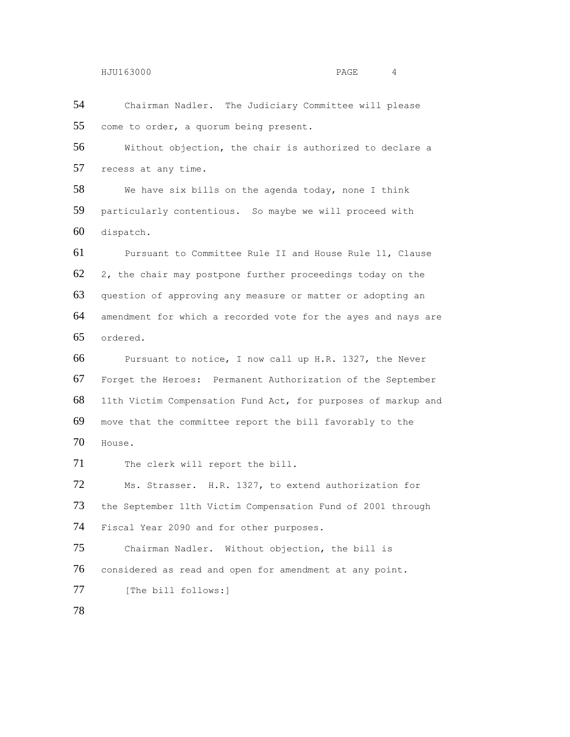Chairman Nadler. The Judiciary Committee will please come to order, a quorum being present.

 Without objection, the chair is authorized to declare a recess at any time.

 We have six bills on the agenda today, none I think particularly contentious. So maybe we will proceed with dispatch.

 Pursuant to Committee Rule II and House Rule 11, Clause 2, the chair may postpone further proceedings today on the question of approving any measure or matter or adopting an amendment for which a recorded vote for the ayes and nays are ordered.

 Pursuant to notice, I now call up H.R. 1327, the Never Forget the Heroes: Permanent Authorization of the September 11th Victim Compensation Fund Act, for purposes of markup and move that the committee report the bill favorably to the House.

71 The clerk will report the bill.

 Ms. Strasser. H.R. 1327, to extend authorization for the September 11th Victim Compensation Fund of 2001 through Fiscal Year 2090 and for other purposes.

 Chairman Nadler. Without objection, the bill is considered as read and open for amendment at any point. 77 [The bill follows: ]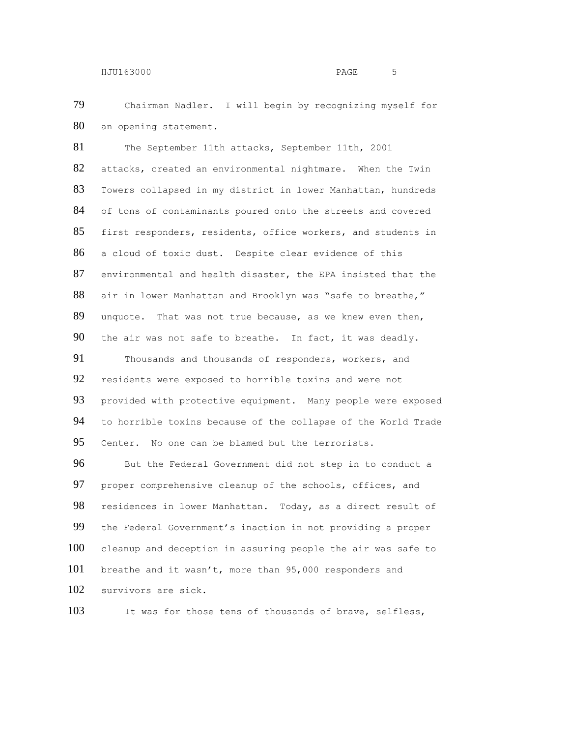Chairman Nadler. I will begin by recognizing myself for an opening statement.

81 The September 11th attacks, September 11th, 2001 attacks, created an environmental nightmare. When the Twin Towers collapsed in my district in lower Manhattan, hundreds 84 of tons of contaminants poured onto the streets and covered first responders, residents, office workers, and students in a cloud of toxic dust. Despite clear evidence of this environmental and health disaster, the EPA insisted that the 88 air in lower Manhattan and Brooklyn was "safe to breathe," unquote. That was not true because, as we knew even then, the air was not safe to breathe. In fact, it was deadly. 91 Thousands and thousands of responders, workers, and

 residents were exposed to horrible toxins and were not provided with protective equipment. Many people were exposed to horrible toxins because of the collapse of the World Trade Center. No one can be blamed but the terrorists.

 But the Federal Government did not step in to conduct a proper comprehensive cleanup of the schools, offices, and 98 residences in lower Manhattan. Today, as a direct result of the Federal Government's inaction in not providing a proper cleanup and deception in assuring people the air was safe to breathe and it wasn't, more than 95,000 responders and survivors are sick.

It was for those tens of thousands of brave, selfless,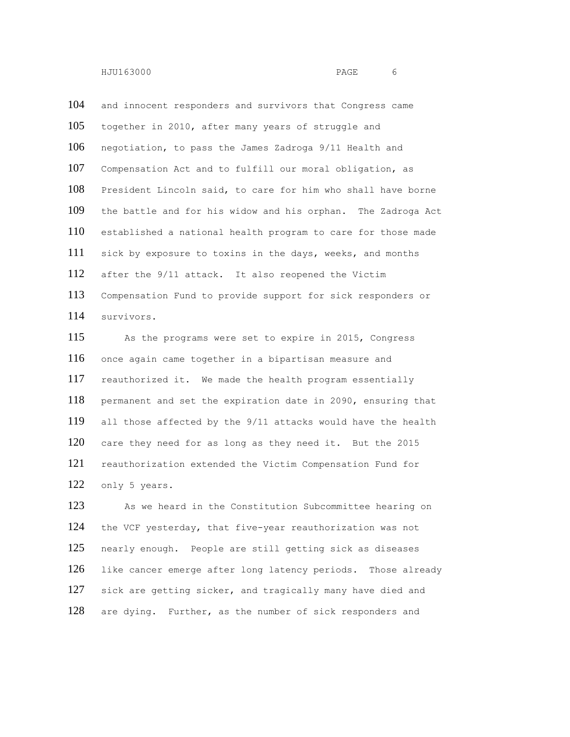and innocent responders and survivors that Congress came together in 2010, after many years of struggle and negotiation, to pass the James Zadroga 9/11 Health and Compensation Act and to fulfill our moral obligation, as President Lincoln said, to care for him who shall have borne the battle and for his widow and his orphan. The Zadroga Act established a national health program to care for those made sick by exposure to toxins in the days, weeks, and months after the 9/11 attack. It also reopened the Victim Compensation Fund to provide support for sick responders or survivors.

 As the programs were set to expire in 2015, Congress once again came together in a bipartisan measure and reauthorized it. We made the health program essentially permanent and set the expiration date in 2090, ensuring that all those affected by the 9/11 attacks would have the health care they need for as long as they need it. But the 2015 reauthorization extended the Victim Compensation Fund for only 5 years.

 As we heard in the Constitution Subcommittee hearing on the VCF yesterday, that five-year reauthorization was not nearly enough. People are still getting sick as diseases like cancer emerge after long latency periods. Those already 127 sick are getting sicker, and tragically many have died and 128 are dying. Further, as the number of sick responders and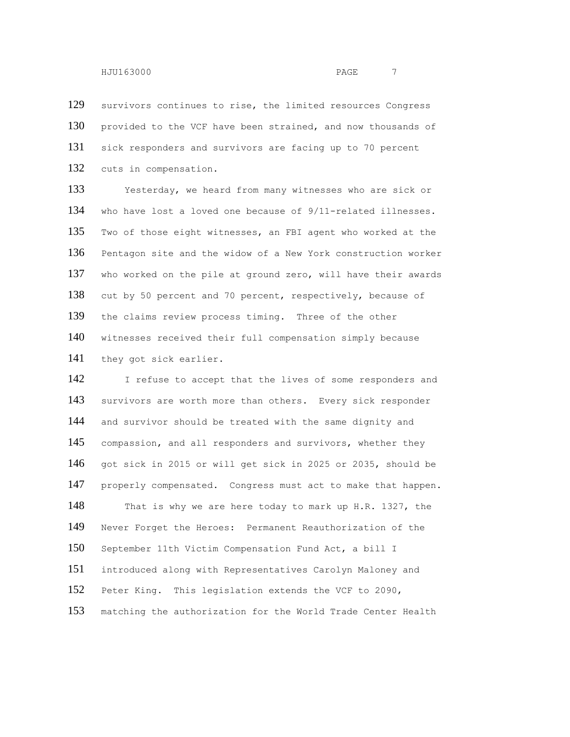survivors continues to rise, the limited resources Congress 130 provided to the VCF have been strained, and now thousands of sick responders and survivors are facing up to 70 percent cuts in compensation.

 Yesterday, we heard from many witnesses who are sick or who have lost a loved one because of 9/11-related illnesses. Two of those eight witnesses, an FBI agent who worked at the Pentagon site and the widow of a New York construction worker who worked on the pile at ground zero, will have their awards 138 cut by 50 percent and 70 percent, respectively, because of the claims review process timing. Three of the other witnesses received their full compensation simply because they got sick earlier.

142 I refuse to accept that the lives of some responders and survivors are worth more than others. Every sick responder 144 and survivor should be treated with the same dignity and 145 compassion, and all responders and survivors, whether they got sick in 2015 or will get sick in 2025 or 2035, should be properly compensated. Congress must act to make that happen. 148 That is why we are here today to mark up H.R. 1327, the Never Forget the Heroes: Permanent Reauthorization of the September 11th Victim Compensation Fund Act, a bill I introduced along with Representatives Carolyn Maloney and Peter King. This legislation extends the VCF to 2090, matching the authorization for the World Trade Center Health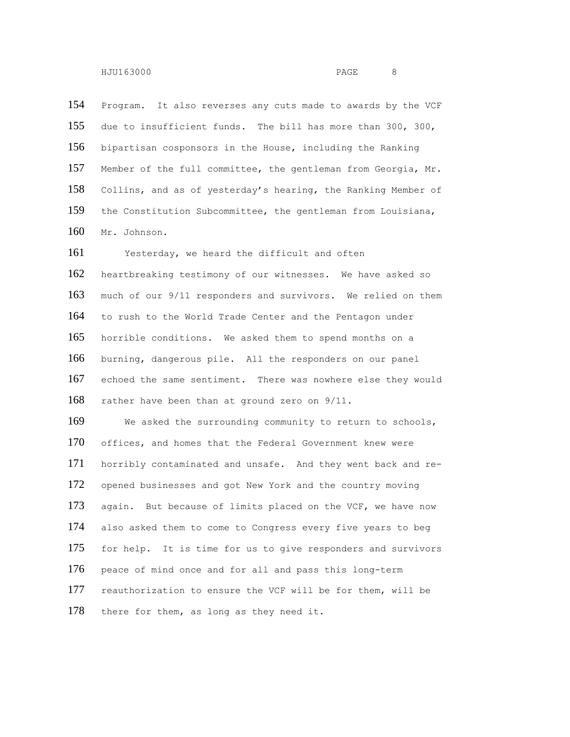Program. It also reverses any cuts made to awards by the VCF due to insufficient funds. The bill has more than 300, 300, bipartisan cosponsors in the House, including the Ranking Member of the full committee, the gentleman from Georgia, Mr. Collins, and as of yesterday's hearing, the Ranking Member of the Constitution Subcommittee, the gentleman from Louisiana, Mr. Johnson.

 Yesterday, we heard the difficult and often heartbreaking testimony of our witnesses. We have asked so much of our 9/11 responders and survivors. We relied on them to rush to the World Trade Center and the Pentagon under horrible conditions. We asked them to spend months on a burning, dangerous pile. All the responders on our panel echoed the same sentiment. There was nowhere else they would rather have been than at ground zero on 9/11.

169 We asked the surrounding community to return to schools, 170 offices, and homes that the Federal Government knew were horribly contaminated and unsafe. And they went back and re- opened businesses and got New York and the country moving again. But because of limits placed on the VCF, we have now also asked them to come to Congress every five years to beg for help. It is time for us to give responders and survivors 176 peace of mind once and for all and pass this long-term reauthorization to ensure the VCF will be for them, will be 178 there for them, as long as they need it.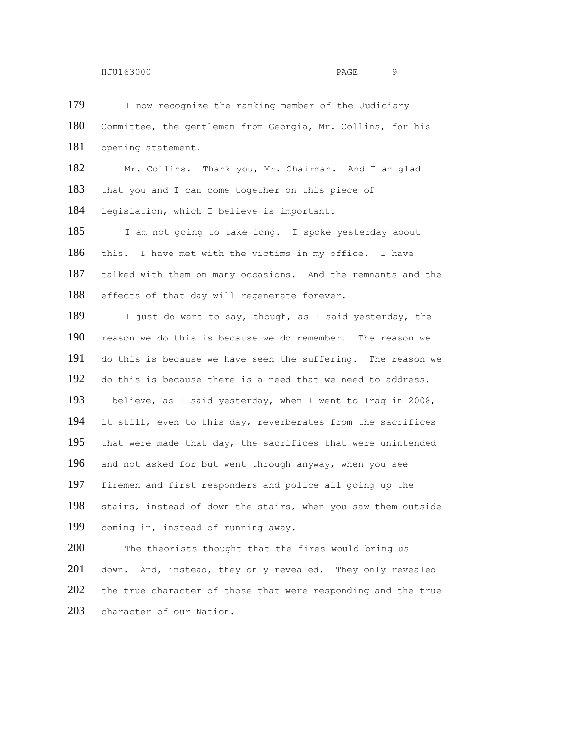179 I now recognize the ranking member of the Judiciary Committee, the gentleman from Georgia, Mr. Collins, for his opening statement.

 Mr. Collins. Thank you, Mr. Chairman. And I am glad that you and I can come together on this piece of legislation, which I believe is important.

185 I am not going to take long. I spoke yesterday about this. I have met with the victims in my office. I have talked with them on many occasions. And the remnants and the 188 effects of that day will regenerate forever.

189 I just do want to say, though, as I said yesterday, the reason we do this is because we do remember. The reason we do this is because we have seen the suffering. The reason we do this is because there is a need that we need to address. I believe, as I said yesterday, when I went to Iraq in 2008, it still, even to this day, reverberates from the sacrifices that were made that day, the sacrifices that were unintended and not asked for but went through anyway, when you see firemen and first responders and police all going up the stairs, instead of down the stairs, when you saw them outside coming in, instead of running away.

200 The theorists thought that the fires would bring us 201 down. And, instead, they only revealed. They only revealed 202 the true character of those that were responding and the true character of our Nation.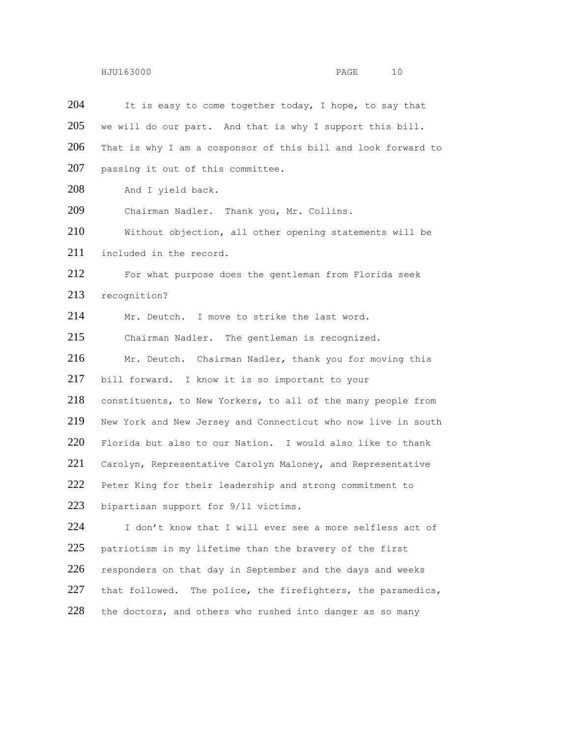| 204 | It is easy to come together today, I hope, to say that        |
|-----|---------------------------------------------------------------|
| 205 | we will do our part. And that is why I support this bill.     |
| 206 | That is why I am a cosponsor of this bill and look forward to |
| 207 | passing it out of this committee.                             |
| 208 | And I yield back.                                             |
| 209 | Chairman Nadler. Thank you, Mr. Collins.                      |
| 210 | Without objection, all other opening statements will be       |
| 211 | included in the record.                                       |
| 212 | For what purpose does the gentleman from Florida seek         |
| 213 | recognition?                                                  |
| 214 | Mr. Deutch. I move to strike the last word.                   |
| 215 | Chairman Nadler. The gentleman is recognized.                 |
| 216 | Mr. Deutch. Chairman Nadler, thank you for moving this        |
| 217 | bill forward. I know it is so important to your               |
| 218 | constituents, to New Yorkers, to all of the many people from  |
| 219 | New York and New Jersey and Connecticut who now live in south |
| 220 | Florida but also to our Nation. I would also like to thank    |
| 221 | Carolyn, Representative Carolyn Maloney, and Representative   |
| 222 | Peter King for their leadership and strong commitment to      |
| 223 | bipartisan support for 9/11 victims.                          |
| 224 | I don't know that I will ever see a more selfless act of      |
| 225 | patriotism in my lifetime than the bravery of the first       |
| 226 | responders on that day in September and the days and weeks    |
| 227 | that followed. The police, the firefighters, the paramedics,  |
| 228 | the doctors, and others who rushed into danger as so many     |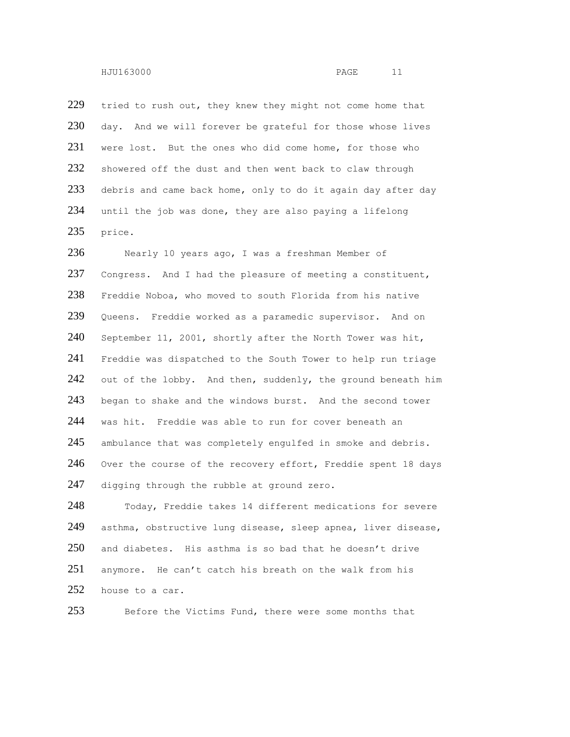229 tried to rush out, they knew they might not come home that 230 day. And we will forever be grateful for those whose lives 231 were lost. But the ones who did come home, for those who 232 showered off the dust and then went back to claw through 233 debris and came back home, only to do it again day after day 234 until the job was done, they are also paying a lifelong 235 price.

236 Nearly 10 years ago, I was a freshman Member of 237 Congress. And I had the pleasure of meeting a constituent, 238 Freddie Noboa, who moved to south Florida from his native 239 Queens. Freddie worked as a paramedic supervisor. And on 240 September 11, 2001, shortly after the North Tower was hit, 241 Freddie was dispatched to the South Tower to help run triage 242 out of the lobby. And then, suddenly, the ground beneath him 243 began to shake and the windows burst. And the second tower 244 was hit. Freddie was able to run for cover beneath an 245 ambulance that was completely engulfed in smoke and debris. 246 Over the course of the recovery effort, Freddie spent 18 days 247 digging through the rubble at ground zero.

 Today, Freddie takes 14 different medications for severe asthma, obstructive lung disease, sleep apnea, liver disease, and diabetes. His asthma is so bad that he doesn't drive anymore. He can't catch his breath on the walk from his 252 house to a car.

253 Before the Victims Fund, there were some months that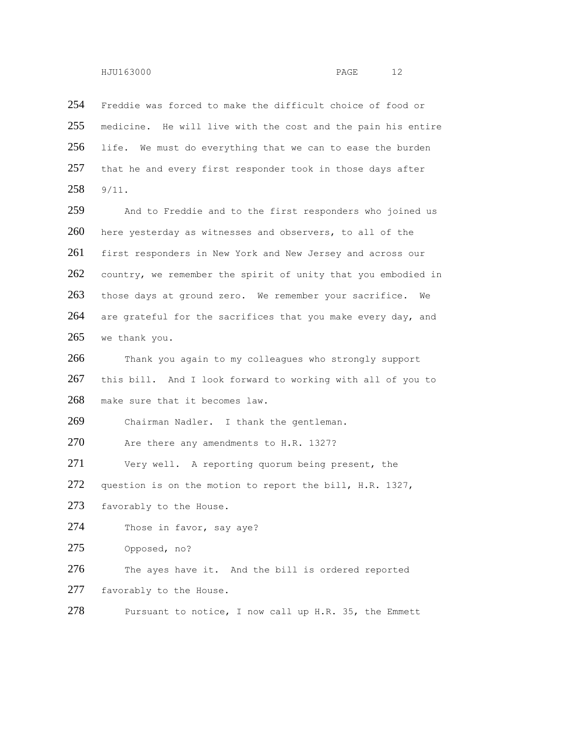254 Freddie was forced to make the difficult choice of food or 255 medicine. He will live with the cost and the pain his entire 256 life. We must do everything that we can to ease the burden 257 that he and every first responder took in those days after 258 9/11.

259 And to Freddie and to the first responders who joined us 260 here yesterday as witnesses and observers, to all of the 261 first responders in New York and New Jersey and across our 262 country, we remember the spirit of unity that you embodied in 263 those days at ground zero. We remember your sacrifice. We 264 are grateful for the sacrifices that you make every day, and 265 we thank you.

266 Thank you again to my colleagues who strongly support 267 this bill. And I look forward to working with all of you to 268 make sure that it becomes law.

269 Chairman Nadler. I thank the gentleman.

270 Are there any amendments to H.R. 1327?

271 Very well. A reporting quorum being present, the

272 question is on the motion to report the bill, H.R. 1327,

273 favorably to the House.

274 Those in favor, say aye?

275 Opposed, no?

276 The ayes have it. And the bill is ordered reported 277 favorably to the House.

```
278 Pursuant to notice, I now call up H.R. 35, the Emmett
```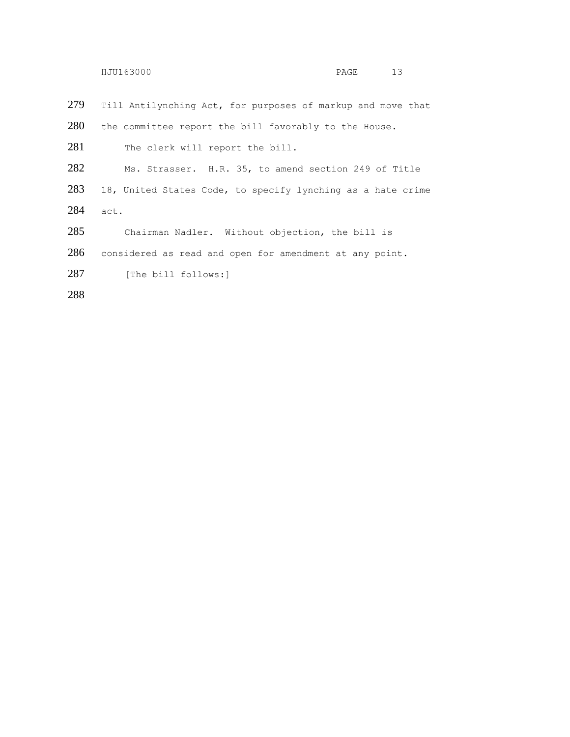|     | HJU163000                                                   | PAGE | 13 |
|-----|-------------------------------------------------------------|------|----|
| 279 | Till Antilynching Act, for purposes of markup and move that |      |    |
| 280 | the committee report the bill favorably to the House.       |      |    |
| 281 | The clerk will report the bill.                             |      |    |
| 282 | Ms. Strasser. H.R. 35, to amend section 249 of Title        |      |    |
| 283 | 18, United States Code, to specify lynching as a hate crime |      |    |
| 284 | act.                                                        |      |    |
| 285 | Chairman Nadler. Without objection, the bill is             |      |    |
| 286 | considered as read and open for amendment at any point.     |      |    |
| 287 | [The bill follows:]                                         |      |    |
| 288 |                                                             |      |    |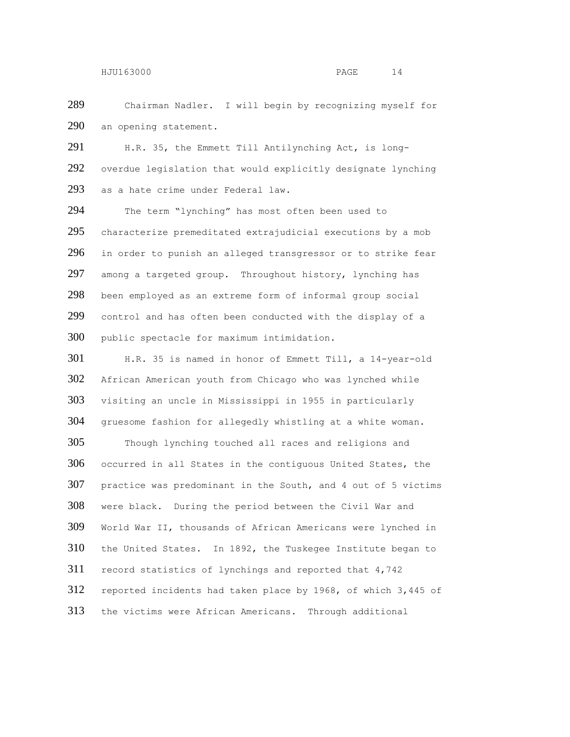Chairman Nadler. I will begin by recognizing myself for an opening statement.

 H.R. 35, the Emmett Till Antilynching Act, is long- overdue legislation that would explicitly designate lynching as a hate crime under Federal law.

 The term "lynching" has most often been used to characterize premeditated extrajudicial executions by a mob in order to punish an alleged transgressor or to strike fear among a targeted group. Throughout history, lynching has been employed as an extreme form of informal group social control and has often been conducted with the display of a public spectacle for maximum intimidation.

 H.R. 35 is named in honor of Emmett Till, a 14-year-old African American youth from Chicago who was lynched while visiting an uncle in Mississippi in 1955 in particularly gruesome fashion for allegedly whistling at a white woman. Though lynching touched all races and religions and occurred in all States in the contiguous United States, the practice was predominant in the South, and 4 out of 5 victims were black. During the period between the Civil War and World War II, thousands of African Americans were lynched in the United States. In 1892, the Tuskegee Institute began to record statistics of lynchings and reported that 4,742 reported incidents had taken place by 1968, of which 3,445 of the victims were African Americans. Through additional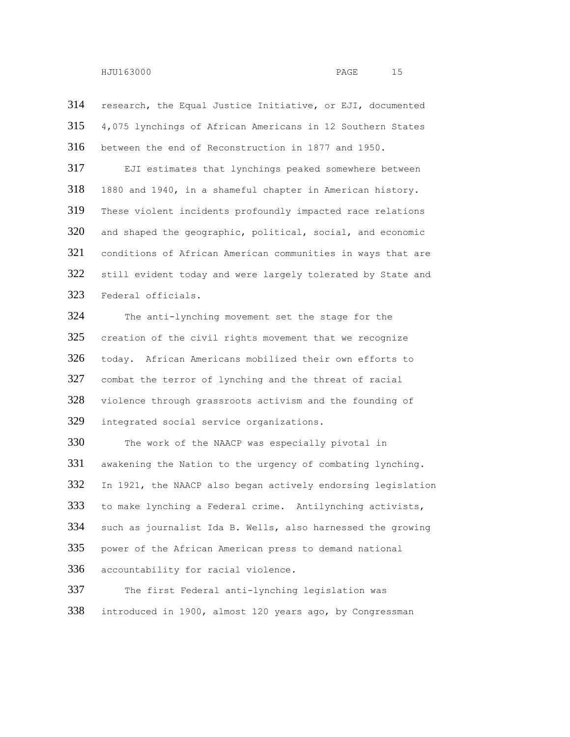research, the Equal Justice Initiative, or EJI, documented 4,075 lynchings of African Americans in 12 Southern States between the end of Reconstruction in 1877 and 1950. EJI estimates that lynchings peaked somewhere between 1880 and 1940, in a shameful chapter in American history. These violent incidents profoundly impacted race relations and shaped the geographic, political, social, and economic conditions of African American communities in ways that are 322 still evident today and were largely tolerated by State and Federal officials. The anti-lynching movement set the stage for the creation of the civil rights movement that we recognize today. African Americans mobilized their own efforts to combat the terror of lynching and the threat of racial violence through grassroots activism and the founding of integrated social service organizations. The work of the NAACP was especially pivotal in awakening the Nation to the urgency of combating lynching. In 1921, the NAACP also began actively endorsing legislation to make lynching a Federal crime. Antilynching activists, such as journalist Ida B. Wells, also harnessed the growing power of the African American press to demand national accountability for racial violence. The first Federal anti-lynching legislation was introduced in 1900, almost 120 years ago, by Congressman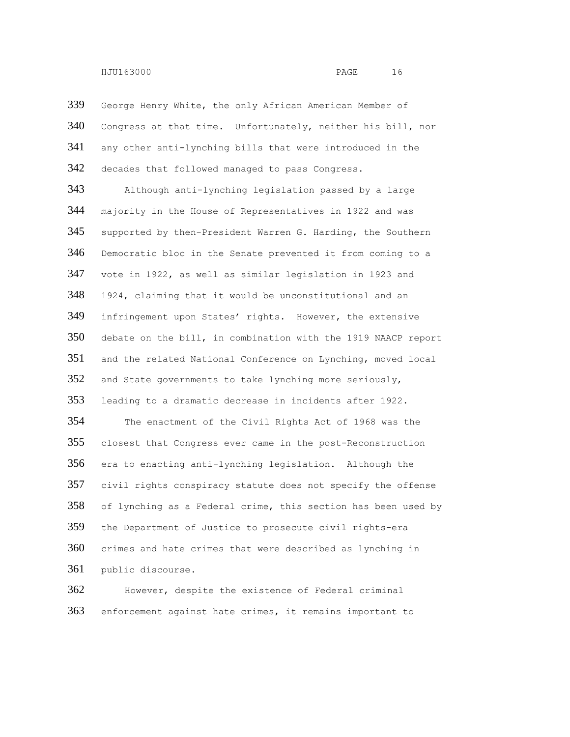George Henry White, the only African American Member of Congress at that time. Unfortunately, neither his bill, nor any other anti-lynching bills that were introduced in the decades that followed managed to pass Congress.

 Although anti-lynching legislation passed by a large majority in the House of Representatives in 1922 and was supported by then-President Warren G. Harding, the Southern Democratic bloc in the Senate prevented it from coming to a vote in 1922, as well as similar legislation in 1923 and 1924, claiming that it would be unconstitutional and an infringement upon States' rights. However, the extensive debate on the bill, in combination with the 1919 NAACP report and the related National Conference on Lynching, moved local and State governments to take lynching more seriously, leading to a dramatic decrease in incidents after 1922.

 The enactment of the Civil Rights Act of 1968 was the closest that Congress ever came in the post-Reconstruction era to enacting anti-lynching legislation. Although the civil rights conspiracy statute does not specify the offense of lynching as a Federal crime, this section has been used by the Department of Justice to prosecute civil rights-era crimes and hate crimes that were described as lynching in public discourse.

 However, despite the existence of Federal criminal enforcement against hate crimes, it remains important to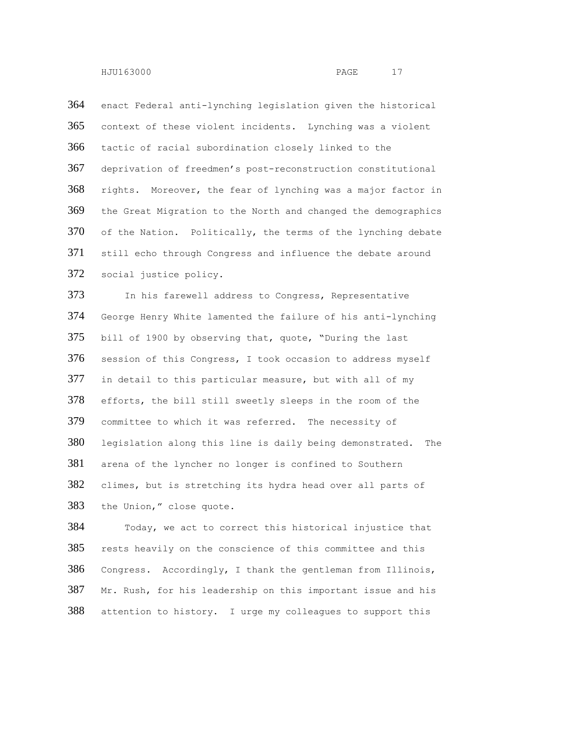enact Federal anti-lynching legislation given the historical context of these violent incidents. Lynching was a violent tactic of racial subordination closely linked to the deprivation of freedmen's post-reconstruction constitutional rights. Moreover, the fear of lynching was a major factor in the Great Migration to the North and changed the demographics of the Nation. Politically, the terms of the lynching debate still echo through Congress and influence the debate around social justice policy.

 In his farewell address to Congress, Representative George Henry White lamented the failure of his anti-lynching bill of 1900 by observing that, quote, "During the last session of this Congress, I took occasion to address myself in detail to this particular measure, but with all of my efforts, the bill still sweetly sleeps in the room of the committee to which it was referred. The necessity of legislation along this line is daily being demonstrated. The arena of the lyncher no longer is confined to Southern climes, but is stretching its hydra head over all parts of the Union," close quote.

 Today, we act to correct this historical injustice that rests heavily on the conscience of this committee and this Congress. Accordingly, I thank the gentleman from Illinois, Mr. Rush, for his leadership on this important issue and his attention to history. I urge my colleagues to support this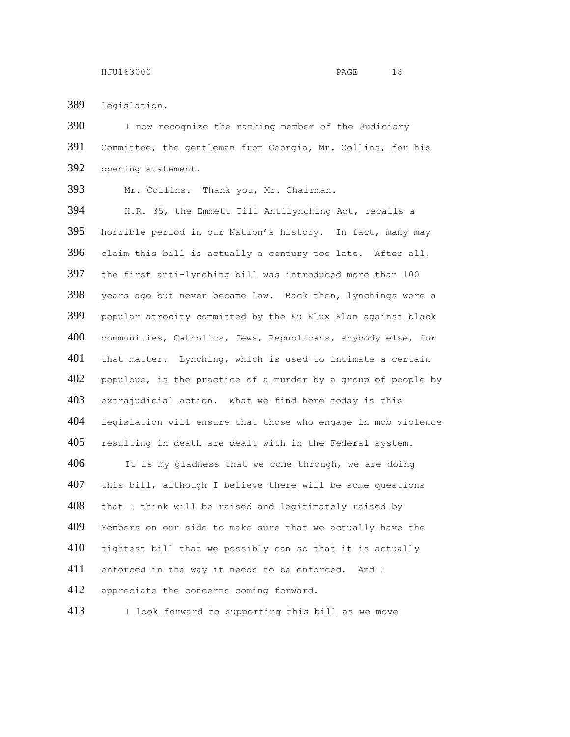legislation.

390 I now recognize the ranking member of the Judiciary Committee, the gentleman from Georgia, Mr. Collins, for his opening statement.

Mr. Collins. Thank you, Mr. Chairman.

 H.R. 35, the Emmett Till Antilynching Act, recalls a horrible period in our Nation's history. In fact, many may claim this bill is actually a century too late. After all, the first anti-lynching bill was introduced more than 100 years ago but never became law. Back then, lynchings were a popular atrocity committed by the Ku Klux Klan against black communities, Catholics, Jews, Republicans, anybody else, for that matter. Lynching, which is used to intimate a certain populous, is the practice of a murder by a group of people by extrajudicial action. What we find here today is this legislation will ensure that those who engage in mob violence resulting in death are dealt with in the Federal system.

406 It is my gladness that we come through, we are doing this bill, although I believe there will be some questions that I think will be raised and legitimately raised by Members on our side to make sure that we actually have the 410 tightest bill that we possibly can so that it is actually 411 enforced in the way it needs to be enforced. And I 412 appreciate the concerns coming forward.

413 I look forward to supporting this bill as we move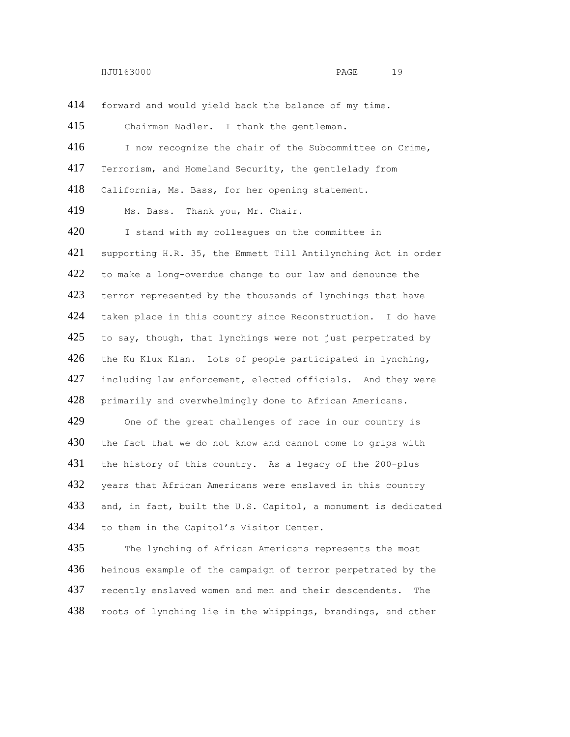forward and would yield back the balance of my time.

 Chairman Nadler. I thank the gentleman. I now recognize the chair of the Subcommittee on Crime, Terrorism, and Homeland Security, the gentlelady from California, Ms. Bass, for her opening statement. Ms. Bass. Thank you, Mr. Chair. 420 I stand with my colleagues on the committee in supporting H.R. 35, the Emmett Till Antilynching Act in order 422 to make a long-overdue change to our law and denounce the 423 terror represented by the thousands of lynchings that have taken place in this country since Reconstruction. I do have 425 to say, though, that lynchings were not just perpetrated by 426 the Ku Klux Klan. Lots of people participated in lynching, including law enforcement, elected officials. And they were primarily and overwhelmingly done to African Americans. One of the great challenges of race in our country is 430 the fact that we do not know and cannot come to grips with the history of this country. As a legacy of the 200-plus 432 years that African Americans were enslaved in this country and, in fact, built the U.S. Capitol, a monument is dedicated to them in the Capitol's Visitor Center.

 The lynching of African Americans represents the most heinous example of the campaign of terror perpetrated by the 437 recently enslaved women and men and their descendents. The roots of lynching lie in the whippings, brandings, and other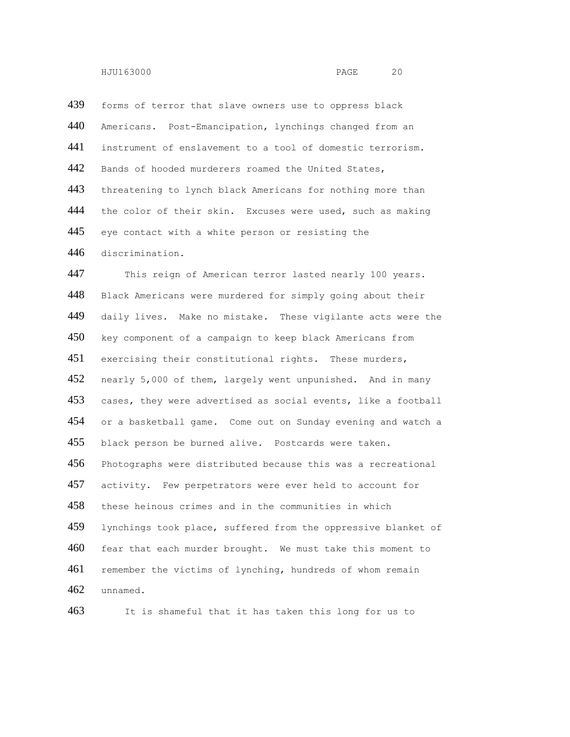439 forms of terror that slave owners use to oppress black Americans. Post-Emancipation, lynchings changed from an instrument of enslavement to a tool of domestic terrorism. 442 Bands of hooded murderers roamed the United States, 443 threatening to lynch black Americans for nothing more than 444 the color of their skin. Excuses were used, such as making 445 eye contact with a white person or resisting the discrimination.

 This reign of American terror lasted nearly 100 years. Black Americans were murdered for simply going about their 449 daily lives. Make no mistake. These vigilante acts were the key component of a campaign to keep black Americans from exercising their constitutional rights. These murders, nearly 5,000 of them, largely went unpunished. And in many cases, they were advertised as social events, like a football or a basketball game. Come out on Sunday evening and watch a black person be burned alive. Postcards were taken. Photographs were distributed because this was a recreational activity. Few perpetrators were ever held to account for these heinous crimes and in the communities in which lynchings took place, suffered from the oppressive blanket of fear that each murder brought. We must take this moment to remember the victims of lynching, hundreds of whom remain unnamed.

It is shameful that it has taken this long for us to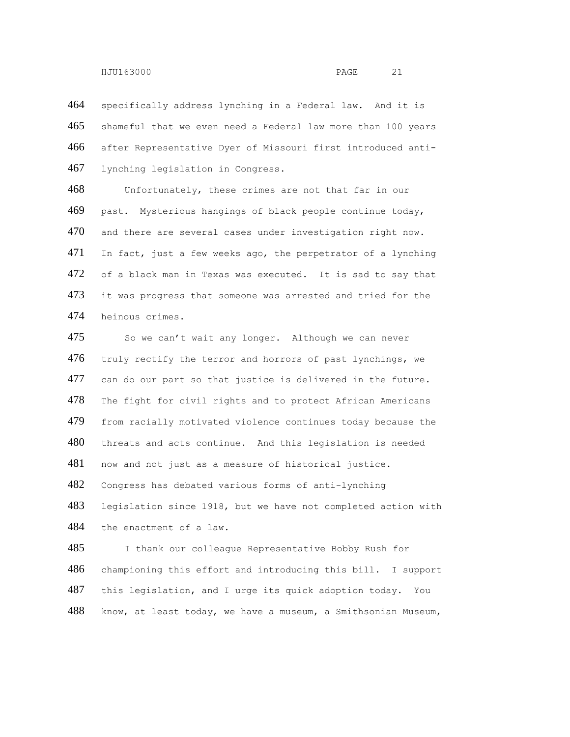specifically address lynching in a Federal law. And it is shameful that we even need a Federal law more than 100 years after Representative Dyer of Missouri first introduced anti-lynching legislation in Congress.

 Unfortunately, these crimes are not that far in our past. Mysterious hangings of black people continue today, and there are several cases under investigation right now. In fact, just a few weeks ago, the perpetrator of a lynching 472 of a black man in Texas was executed. It is sad to say that 473 it was progress that someone was arrested and tried for the heinous crimes.

475 So we can't wait any longer. Although we can never 476 truly rectify the terror and horrors of past lynchings, we can do our part so that justice is delivered in the future. The fight for civil rights and to protect African Americans from racially motivated violence continues today because the threats and acts continue. And this legislation is needed now and not just as a measure of historical justice. Congress has debated various forms of anti-lynching legislation since 1918, but we have not completed action with the enactment of a law.

 I thank our colleague Representative Bobby Rush for championing this effort and introducing this bill. I support this legislation, and I urge its quick adoption today. You know, at least today, we have a museum, a Smithsonian Museum,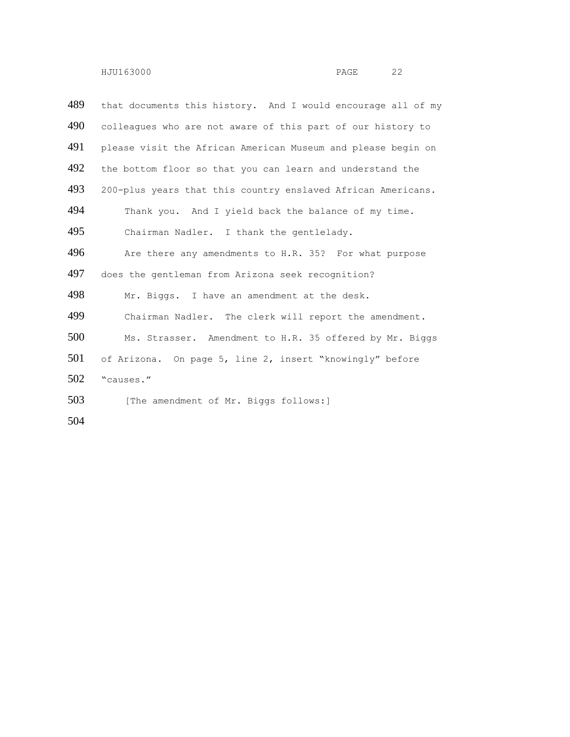| 489 | that documents this history. And I would encourage all of my |
|-----|--------------------------------------------------------------|
| 490 | colleagues who are not aware of this part of our history to  |
| 491 | please visit the African American Museum and please begin on |
| 492 | the bottom floor so that you can learn and understand the    |
| 493 | 200-plus years that this country enslaved African Americans. |
| 494 | Thank you. And I yield back the balance of my time.          |
| 495 | Chairman Nadler. I thank the gentlelady.                     |
| 496 | Are there any amendments to H.R. 35? For what purpose        |
| 497 | does the gentleman from Arizona seek recognition?            |
| 498 | Mr. Biggs. I have an amendment at the desk.                  |
| 499 | Chairman Nadler. The clerk will report the amendment.        |
| 500 | Ms. Strasser. Amendment to H.R. 35 offered by Mr. Biggs      |
| 501 | of Arizona. On page 5, line 2, insert "knowingly" before     |
| 502 | "causes."                                                    |
| 503 | [The amendment of Mr. Biggs follows:]                        |
| 504 |                                                              |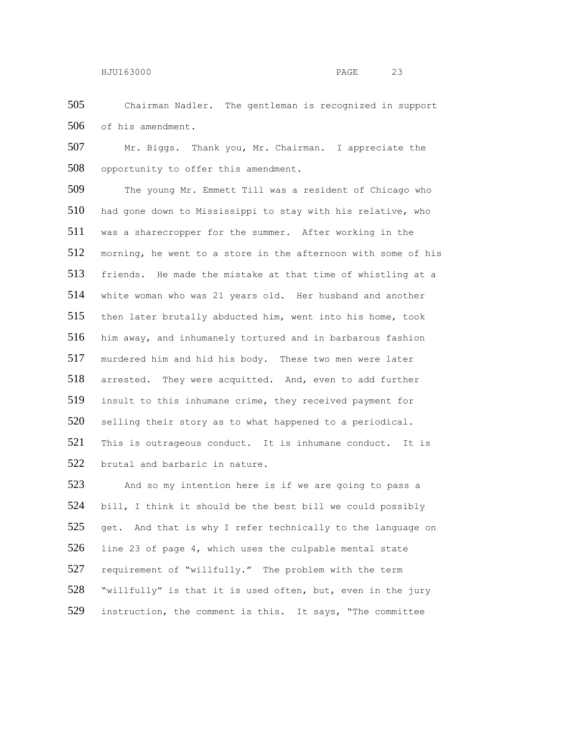Chairman Nadler. The gentleman is recognized in support of his amendment.

 Mr. Biggs. Thank you, Mr. Chairman. I appreciate the opportunity to offer this amendment.

 The young Mr. Emmett Till was a resident of Chicago who had gone down to Mississippi to stay with his relative, who was a sharecropper for the summer. After working in the morning, he went to a store in the afternoon with some of his friends. He made the mistake at that time of whistling at a white woman who was 21 years old. Her husband and another then later brutally abducted him, went into his home, took him away, and inhumanely tortured and in barbarous fashion murdered him and hid his body. These two men were later arrested. They were acquitted. And, even to add further 519 insult to this inhumane crime, they received payment for 520 selling their story as to what happened to a periodical. 521 This is outrageous conduct. It is inhumane conduct. It is brutal and barbaric in nature.

523 And so my intention here is if we are going to pass a bill, I think it should be the best bill we could possibly 525 get. And that is why I refer technically to the language on line 23 of page 4, which uses the culpable mental state 527 requirement of "willfully." The problem with the term "willfully" is that it is used often, but, even in the jury 529 instruction, the comment is this. It says, "The committee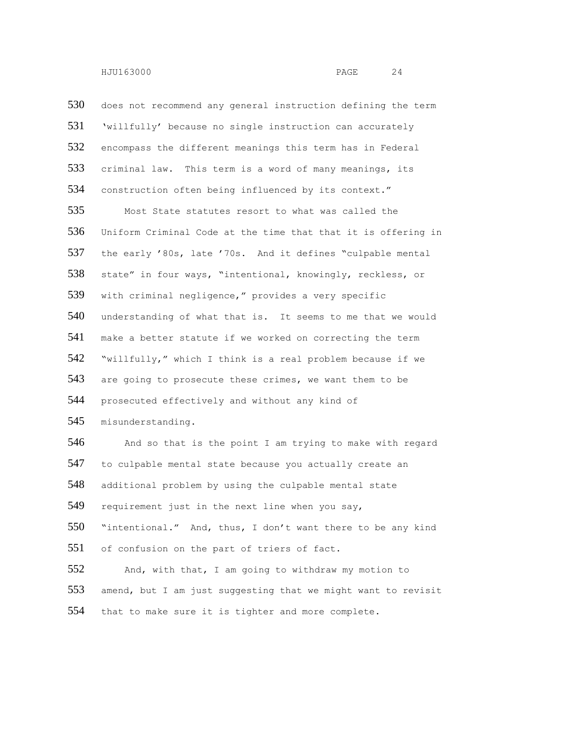530 does not recommend any general instruction defining the term 531 'willfully' because no single instruction can accurately 532 encompass the different meanings this term has in Federal 533 criminal law. This term is a word of many meanings, its 534 construction often being influenced by its context." 535 Most State statutes resort to what was called the 536 Uniform Criminal Code at the time that that it is offering in 537 the early '80s, late '70s. And it defines "culpable mental 538 state" in four ways, "intentional, knowingly, reckless, or 539 with criminal negligence," provides a very specific 540 understanding of what that is. It seems to me that we would 541 make a better statute if we worked on correcting the term 542 "willfully," which I think is a real problem because if we 543 are going to prosecute these crimes, we want them to be 544 prosecuted effectively and without any kind of 545 misunderstanding. 546 And so that is the point I am trying to make with regard 547 to culpable mental state because you actually create an 548 additional problem by using the culpable mental state 549 requirement just in the next line when you say, 550 "intentional." And, thus, I don't want there to be any kind 551 of confusion on the part of triers of fact. 552 And, with that, I am going to withdraw my motion to 553 amend, but I am just suggesting that we might want to revisit 554 that to make sure it is tighter and more complete.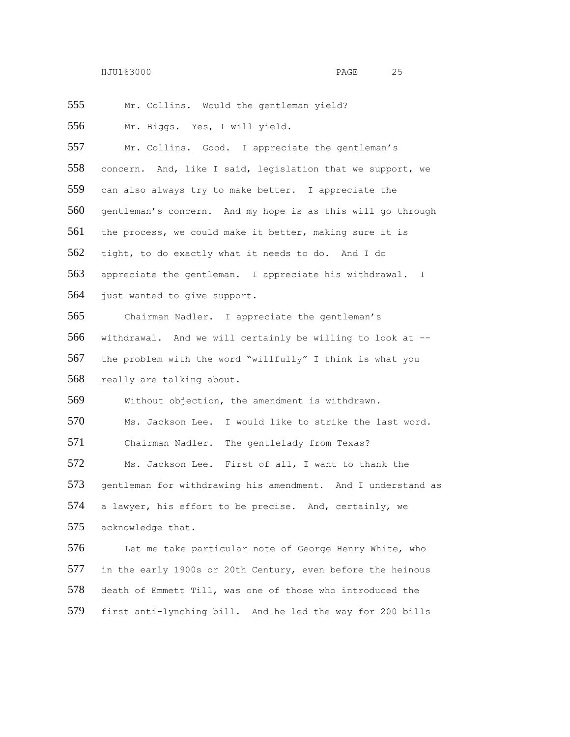Mr. Collins. Would the gentleman yield?

Mr. Biggs. Yes, I will yield.

 Mr. Collins. Good. I appreciate the gentleman's concern. And, like I said, legislation that we support, we can also always try to make better. I appreciate the gentleman's concern. And my hope is as this will go through 561 the process, we could make it better, making sure it is tight, to do exactly what it needs to do. And I do appreciate the gentleman. I appreciate his withdrawal. I just wanted to give support.

 Chairman Nadler. I appreciate the gentleman's withdrawal. And we will certainly be willing to look at -- the problem with the word "willfully" I think is what you really are talking about.

Without objection, the amendment is withdrawn.

 Ms. Jackson Lee. I would like to strike the last word. Chairman Nadler. The gentlelady from Texas?

 Ms. Jackson Lee. First of all, I want to thank the 573 gentleman for withdrawing his amendment. And I understand as a lawyer, his effort to be precise. And, certainly, we acknowledge that.

576 Let me take particular note of George Henry White, who in the early 1900s or 20th Century, even before the heinous death of Emmett Till, was one of those who introduced the first anti-lynching bill. And he led the way for 200 bills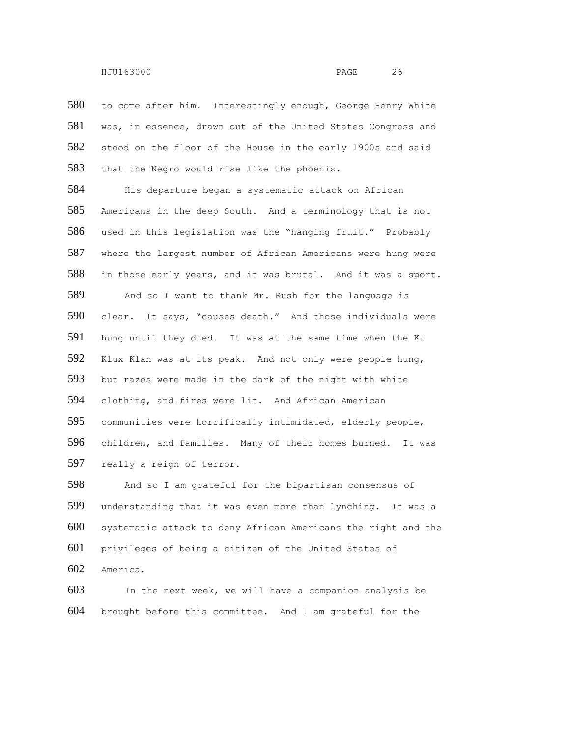580 to come after him. Interestingly enough, George Henry White was, in essence, drawn out of the United States Congress and 582 stood on the floor of the House in the early 1900s and said that the Negro would rise like the phoenix.

584 His departure began a systematic attack on African Americans in the deep South. And a terminology that is not used in this legislation was the "hanging fruit." Probably where the largest number of African Americans were hung were in those early years, and it was brutal. And it was a sport. 589 And so I want to thank Mr. Rush for the language is clear. It says, "causes death." And those individuals were hung until they died. It was at the same time when the Ku Klux Klan was at its peak. And not only were people hung, but razes were made in the dark of the night with white clothing, and fires were lit. And African American communities were horrifically intimidated, elderly people, children, and families. Many of their homes burned. It was really a reign of terror.

 And so I am grateful for the bipartisan consensus of understanding that it was even more than lynching. It was a systematic attack to deny African Americans the right and the privileges of being a citizen of the United States of America.

 In the next week, we will have a companion analysis be brought before this committee. And I am grateful for the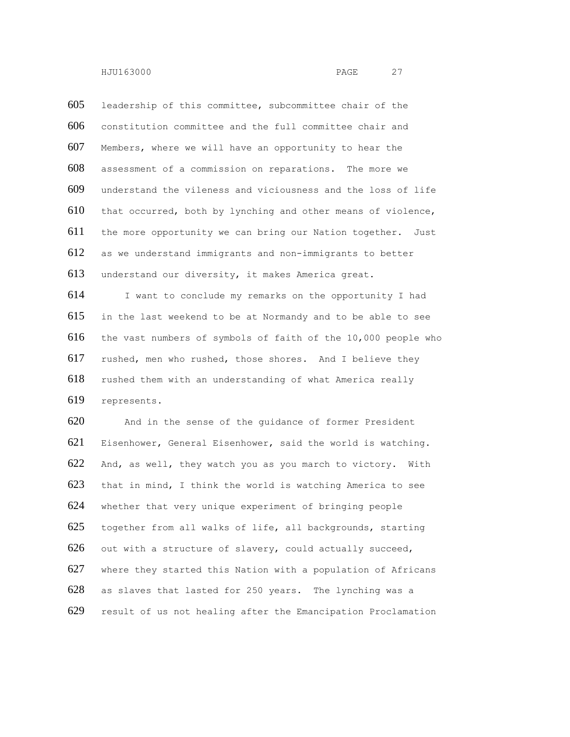leadership of this committee, subcommittee chair of the constitution committee and the full committee chair and Members, where we will have an opportunity to hear the assessment of a commission on reparations. The more we understand the vileness and viciousness and the loss of life that occurred, both by lynching and other means of violence, the more opportunity we can bring our Nation together. Just as we understand immigrants and non-immigrants to better understand our diversity, it makes America great. I want to conclude my remarks on the opportunity I had

 in the last weekend to be at Normandy and to be able to see the vast numbers of symbols of faith of the 10,000 people who rushed, men who rushed, those shores. And I believe they rushed them with an understanding of what America really represents.

 And in the sense of the guidance of former President Eisenhower, General Eisenhower, said the world is watching. 622 And, as well, they watch you as you march to victory. With 623 that in mind, I think the world is watching America to see whether that very unique experiment of bringing people together from all walks of life, all backgrounds, starting out with a structure of slavery, could actually succeed, where they started this Nation with a population of Africans as slaves that lasted for 250 years. The lynching was a result of us not healing after the Emancipation Proclamation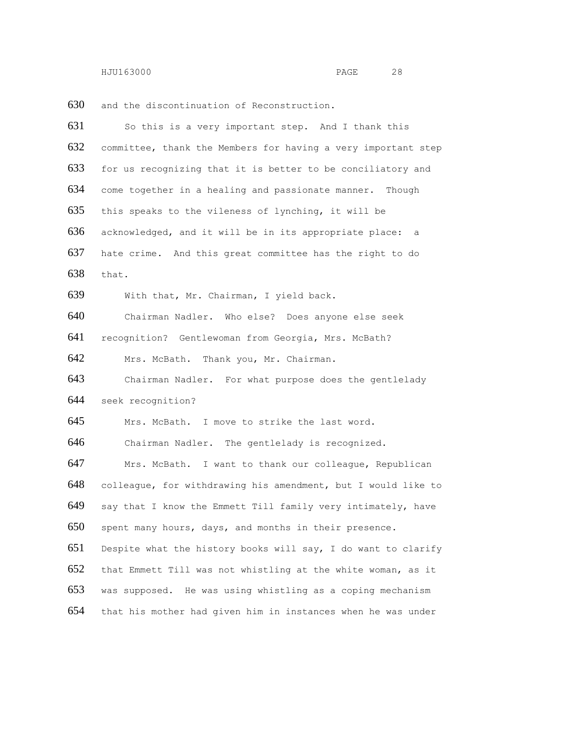and the discontinuation of Reconstruction.

| 631 | So this is a very important step. And I thank this            |
|-----|---------------------------------------------------------------|
| 632 | committee, thank the Members for having a very important step |
| 633 | for us recognizing that it is better to be conciliatory and   |
| 634 | come together in a healing and passionate manner. Though      |
| 635 | this speaks to the vileness of lynching, it will be           |
| 636 | acknowledged, and it will be in its appropriate place: a      |
| 637 | hate crime. And this great committee has the right to do      |
| 638 | that.                                                         |
| 639 | With that, Mr. Chairman, I yield back.                        |
| 640 | Chairman Nadler. Who else? Does anyone else seek              |
| 641 | recognition? Gentlewoman from Georgia, Mrs. McBath?           |
| 642 | Mrs. McBath. Thank you, Mr. Chairman.                         |
| 643 | Chairman Nadler. For what purpose does the gentlelady         |
| 644 | seek recognition?                                             |
| 645 | Mrs. McBath. I move to strike the last word.                  |
| 646 | Chairman Nadler. The gentlelady is recognized.                |
| 647 | Mrs. McBath. I want to thank our colleague, Republican        |
| 648 | colleague, for withdrawing his amendment, but I would like to |
| 649 | say that I know the Emmett Till family very intimately, have  |
| 650 | spent many hours, days, and months in their presence.         |
| 651 | Despite what the history books will say, I do want to clarify |
| 652 | that Emmett Till was not whistling at the white woman, as it  |
| 653 | was supposed. He was using whistling as a coping mechanism    |
| 654 | that his mother had given him in instances when he was under  |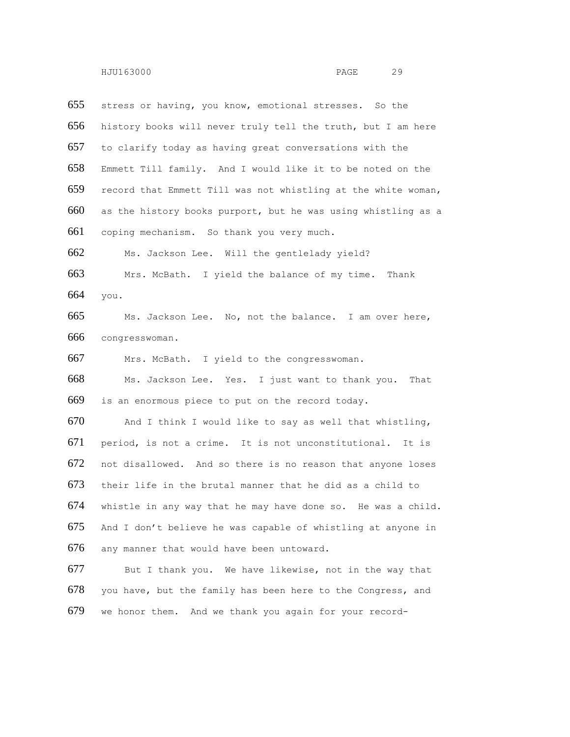stress or having, you know, emotional stresses. So the history books will never truly tell the truth, but I am here to clarify today as having great conversations with the Emmett Till family. And I would like it to be noted on the record that Emmett Till was not whistling at the white woman, as the history books purport, but he was using whistling as a coping mechanism. So thank you very much. Ms. Jackson Lee. Will the gentlelady yield? Mrs. McBath. I yield the balance of my time. Thank you. Ms. Jackson Lee. No, not the balance. I am over here, congresswoman. Mrs. McBath. I yield to the congresswoman. Ms. Jackson Lee. Yes. I just want to thank you. That is an enormous piece to put on the record today. And I think I would like to say as well that whistling, period, is not a crime. It is not unconstitutional. It is not disallowed. And so there is no reason that anyone loses their life in the brutal manner that he did as a child to whistle in any way that he may have done so. He was a child. And I don't believe he was capable of whistling at anyone in any manner that would have been untoward. But I thank you. We have likewise, not in the way that you have, but the family has been here to the Congress, and we honor them. And we thank you again for your record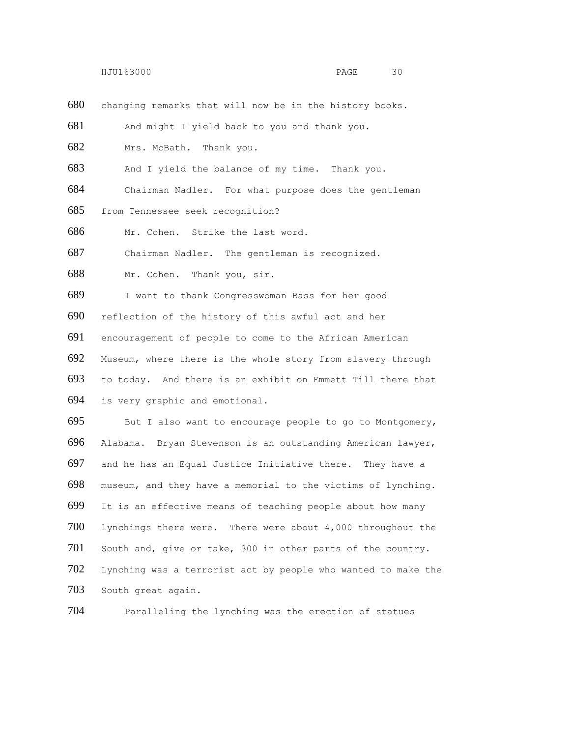changing remarks that will now be in the history books.

And might I yield back to you and thank you.

Mrs. McBath. Thank you.

And I yield the balance of my time. Thank you.

Chairman Nadler. For what purpose does the gentleman

from Tennessee seek recognition?

Mr. Cohen. Strike the last word.

Chairman Nadler. The gentleman is recognized.

Mr. Cohen. Thank you, sir.

 I want to thank Congresswoman Bass for her good reflection of the history of this awful act and her encouragement of people to come to the African American Museum, where there is the whole story from slavery through to today. And there is an exhibit on Emmett Till there that is very graphic and emotional.

 But I also want to encourage people to go to Montgomery, Alabama. Bryan Stevenson is an outstanding American lawyer, and he has an Equal Justice Initiative there. They have a museum, and they have a memorial to the victims of lynching. It is an effective means of teaching people about how many lynchings there were. There were about 4,000 throughout the South and, give or take, 300 in other parts of the country. Lynching was a terrorist act by people who wanted to make the South great again.

Paralleling the lynching was the erection of statues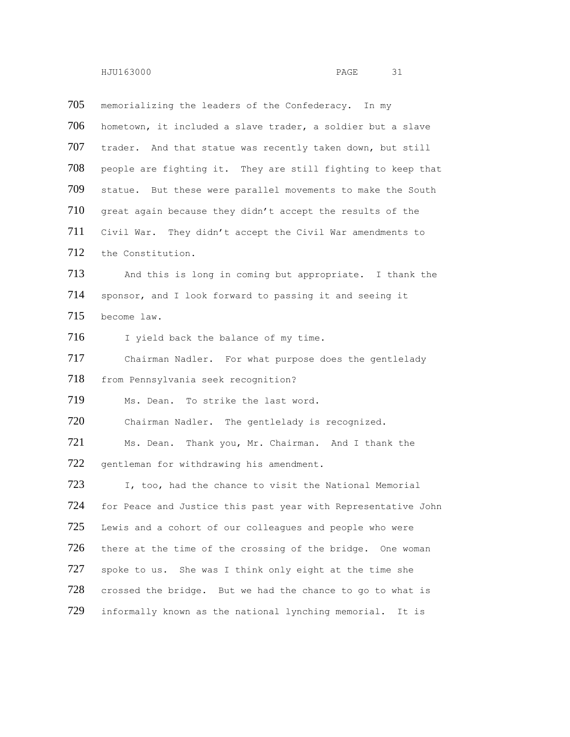| 705 | memorializing the leaders of the Confederacy. In my           |
|-----|---------------------------------------------------------------|
| 706 | hometown, it included a slave trader, a soldier but a slave   |
| 707 | trader. And that statue was recently taken down, but still    |
| 708 | people are fighting it. They are still fighting to keep that  |
| 709 | statue. But these were parallel movements to make the South   |
| 710 | great again because they didn't accept the results of the     |
| 711 | Civil War. They didn't accept the Civil War amendments to     |
| 712 | the Constitution.                                             |
| 713 | And this is long in coming but appropriate. I thank the       |
| 714 | sponsor, and I look forward to passing it and seeing it       |
| 715 | become law.                                                   |
| 716 | I yield back the balance of my time.                          |
| 717 | Chairman Nadler. For what purpose does the gentlelady         |
| 718 | from Pennsylvania seek recognition?                           |
| 719 | Ms. Dean. To strike the last word.                            |
| 720 | Chairman Nadler. The gentlelady is recognized.                |
| 721 | Ms. Dean. Thank you, Mr. Chairman. And I thank the            |
| 722 | gentleman for withdrawing his amendment.                      |
| 723 | I, too, had the chance to visit the National Memorial         |
| 724 | for Peace and Justice this past year with Representative John |
| 725 | Lewis and a cohort of our colleagues and people who were      |
| 726 | there at the time of the crossing of the bridge. One woman    |
| 727 | spoke to us. She was I think only eight at the time she       |
| 728 | crossed the bridge. But we had the chance to go to what is    |
| 729 | informally known as the national lynching memorial.<br>It is  |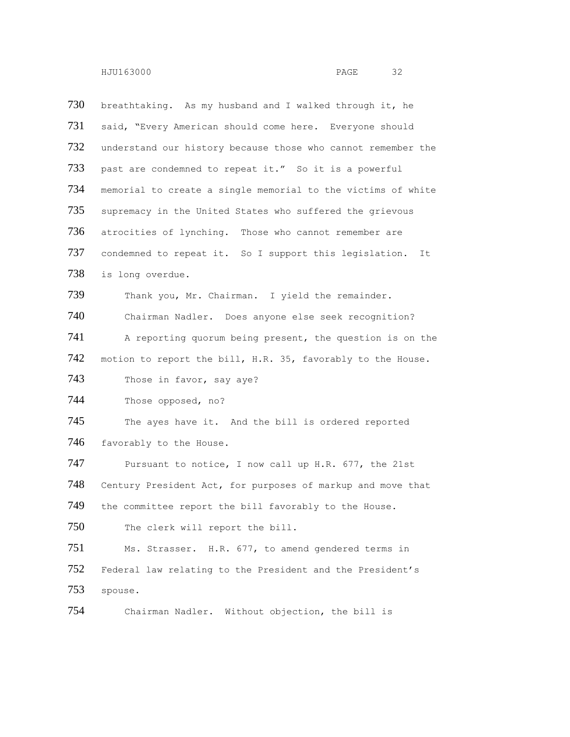730 breathtaking. As my husband and I walked through it, he 731 said, "Every American should come here. Everyone should 732 understand our history because those who cannot remember the 733 past are condemned to repeat it." So it is a powerful 734 memorial to create a single memorial to the victims of white 735 supremacy in the United States who suffered the grievous 736 atrocities of lynching. Those who cannot remember are 737 condemned to repeat it. So I support this legislation. It 738 is long overdue. 739 Thank you, Mr. Chairman. I yield the remainder. 740 Chairman Nadler. Does anyone else seek recognition? 741 A reporting quorum being present, the question is on the 742 motion to report the bill, H.R. 35, favorably to the House. 743 Those in favor, say aye? 744 Those opposed, no? 745 The ayes have it. And the bill is ordered reported 746 favorably to the House. 747 Pursuant to notice, I now call up H.R. 677, the 21st 748 Century President Act, for purposes of markup and move that 749 the committee report the bill favorably to the House. 750 The clerk will report the bill. 751 Ms. Strasser. H.R. 677, to amend gendered terms in 752 Federal law relating to the President and the President's 753 spouse. 754 Chairman Nadler. Without objection, the bill is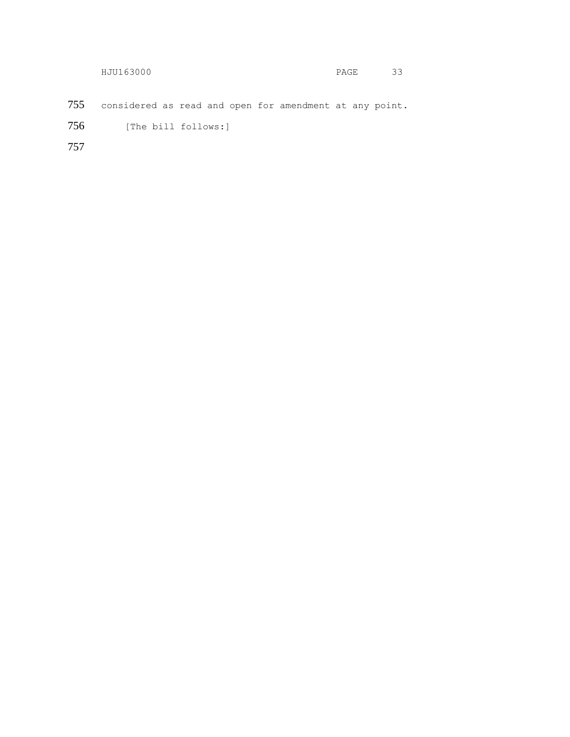|     | HJU163000                                               | PAGE | 33 |
|-----|---------------------------------------------------------|------|----|
|     |                                                         |      |    |
| 755 | considered as read and open for amendment at any point. |      |    |
| 756 | [The bill follows:]                                     |      |    |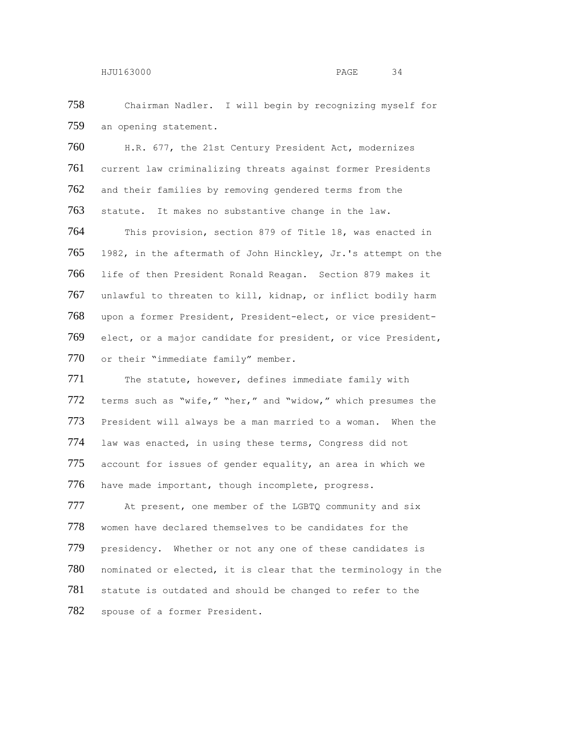Chairman Nadler. I will begin by recognizing myself for 759 an opening statement.

 H.R. 677, the 21st Century President Act, modernizes current law criminalizing threats against former Presidents 762 and their families by removing gendered terms from the statute. It makes no substantive change in the law. This provision, section 879 of Title 18, was enacted in 1982, in the aftermath of John Hinckley, Jr.'s attempt on the life of then President Ronald Reagan. Section 879 makes it unlawful to threaten to kill, kidnap, or inflict bodily harm upon a former President, President-elect, or vice president- elect, or a major candidate for president, or vice President, or their "immediate family" member.

771 The statute, however, defines immediate family with terms such as "wife," "her," and "widow," which presumes the President will always be a man married to a woman. When the law was enacted, in using these terms, Congress did not account for issues of gender equality, an area in which we have made important, though incomplete, progress.

777 At present, one member of the LGBTQ community and six women have declared themselves to be candidates for the 779 presidency. Whether or not any one of these candidates is nominated or elected, it is clear that the terminology in the 781 statute is outdated and should be changed to refer to the spouse of a former President.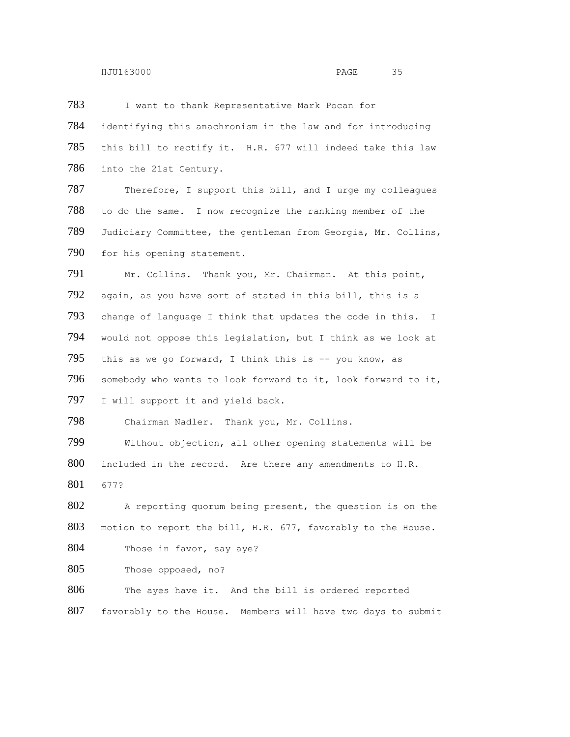783 I want to thank Representative Mark Pocan for 784 identifying this anachronism in the law and for introducing 785 this bill to rectify it. H.R. 677 will indeed take this law 786 into the 21st Century. 787 Therefore, I support this bill, and I urge my colleagues 788 to do the same. I now recognize the ranking member of the 789 Judiciary Committee, the gentleman from Georgia, Mr. Collins, 790 for his opening statement. 791 Mr. Collins. Thank you, Mr. Chairman. At this point, 792 again, as you have sort of stated in this bill, this is a 793 change of language I think that updates the code in this. I 794 would not oppose this legislation, but I think as we look at 795 this as we go forward, I think this is  $-$  you know, as 796 somebody who wants to look forward to it, look forward to it, 797 I will support it and yield back. 798 Chairman Nadler. Thank you, Mr. Collins. 799 Without objection, all other opening statements will be 800 included in the record. Are there any amendments to H.R. 801 677? 802 A reporting quorum being present, the question is on the 803 motion to report the bill, H.R. 677, favorably to the House. 804 Those in favor, say aye? 805 Those opposed, no? 806 The ayes have it. And the bill is ordered reported 807 favorably to the House. Members will have two days to submit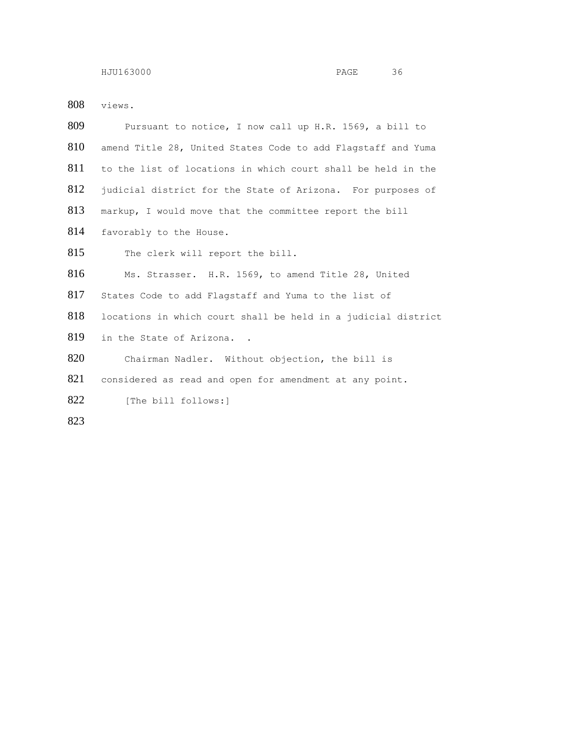views.

| 809 | Pursuant to notice, I now call up H.R. 1569, a bill to        |
|-----|---------------------------------------------------------------|
| 810 | amend Title 28, United States Code to add Flagstaff and Yuma  |
| 811 | to the list of locations in which court shall be held in the  |
| 812 | judicial district for the State of Arizona. For purposes of   |
| 813 | markup, I would move that the committee report the bill       |
| 814 | favorably to the House.                                       |
| 815 | The clerk will report the bill.                               |
| 816 | Ms. Strasser. H.R. 1569, to amend Title 28, United            |
| 817 | States Code to add Flagstaff and Yuma to the list of          |
| 818 | locations in which court shall be held in a judicial district |
| 819 | in the State of Arizona                                       |
| 820 | Chairman Nadler. Without objection, the bill is               |
| 821 | considered as read and open for amendment at any point.       |
| 822 | [The bill follows:]                                           |
| 823 |                                                               |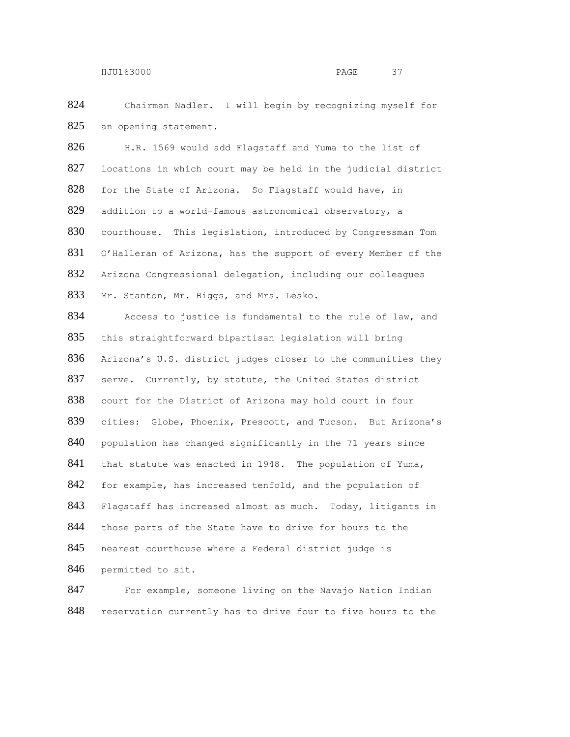824 Chairman Nadler. I will begin by recognizing myself for 825 an opening statement.

826 H.R. 1569 would add Flagstaff and Yuma to the list of 827 locations in which court may be held in the judicial district 828 for the State of Arizona. So Flagstaff would have, in 829 addition to a world-famous astronomical observatory, a 830 courthouse. This legislation, introduced by Congressman Tom 831 O'Halleran of Arizona, has the support of every Member of the 832 Arizona Congressional delegation, including our colleagues 833 Mr. Stanton, Mr. Biggs, and Mrs. Lesko.

834 Access to justice is fundamental to the rule of law, and 835 this straightforward bipartisan legislation will bring 836 Arizona's U.S. district judges closer to the communities they 837 serve. Currently, by statute, the United States district 838 court for the District of Arizona may hold court in four 839 cities: Globe, Phoenix, Prescott, and Tucson. But Arizona's 840 population has changed significantly in the 71 years since 841 that statute was enacted in 1948. The population of Yuma, 842 for example, has increased tenfold, and the population of 843 Flagstaff has increased almost as much. Today, litigants in 844 those parts of the State have to drive for hours to the 845 nearest courthouse where a Federal district judge is 846 permitted to sit.

847 For example, someone living on the Navajo Nation Indian 848 reservation currently has to drive four to five hours to the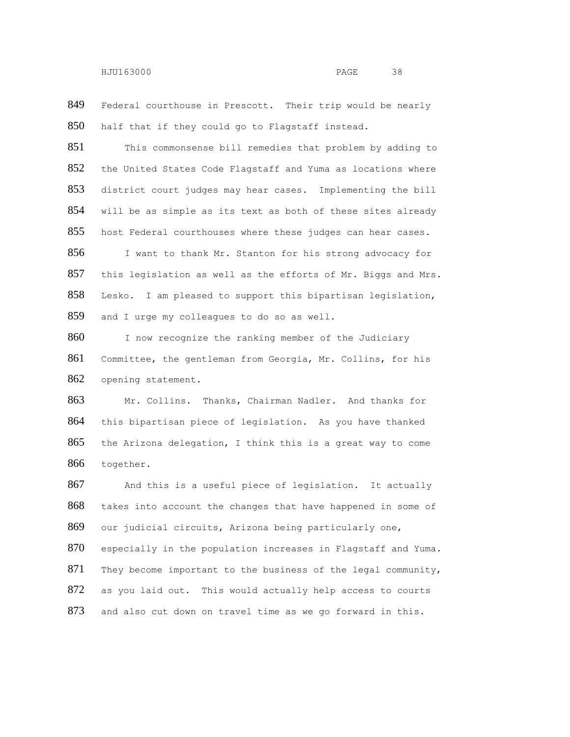849 Federal courthouse in Prescott. Their trip would be nearly half that if they could go to Flagstaff instead.

851 This commonsense bill remedies that problem by adding to the United States Code Flagstaff and Yuma as locations where district court judges may hear cases. Implementing the bill will be as simple as its text as both of these sites already 855 host Federal courthouses where these judges can hear cases.

 I want to thank Mr. Stanton for his strong advocacy for this legislation as well as the efforts of Mr. Biggs and Mrs. Lesko. I am pleased to support this bipartisan legislation, 859 and I urge my colleagues to do so as well.

860 I now recognize the ranking member of the Judiciary Committee, the gentleman from Georgia, Mr. Collins, for his opening statement.

 Mr. Collins. Thanks, Chairman Nadler. And thanks for this bipartisan piece of legislation. As you have thanked the Arizona delegation, I think this is a great way to come together.

867 And this is a useful piece of legislation. It actually takes into account the changes that have happened in some of our judicial circuits, Arizona being particularly one, especially in the population increases in Flagstaff and Yuma. They become important to the business of the legal community, as you laid out. This would actually help access to courts 873 and also cut down on travel time as we go forward in this.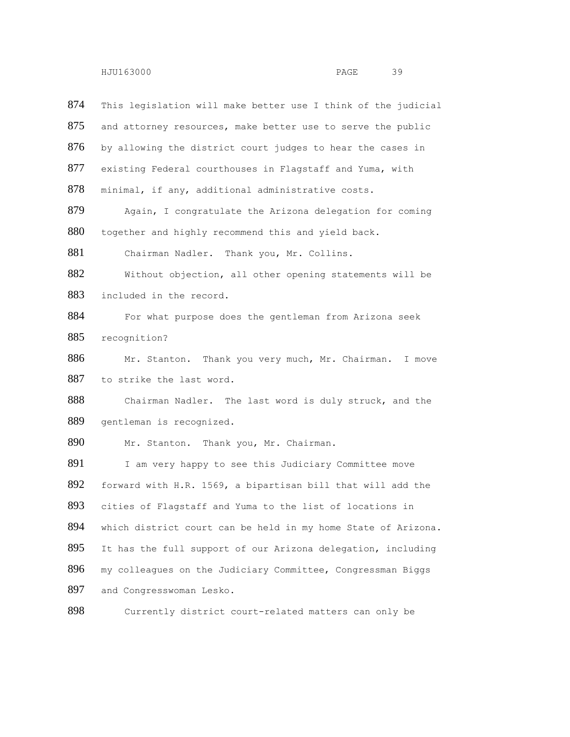874 This legislation will make better use I think of the judicial 875 and attorney resources, make better use to serve the public 876 by allowing the district court judges to hear the cases in 877 existing Federal courthouses in Flagstaff and Yuma, with 878 minimal, if any, additional administrative costs. 879 Again, I congratulate the Arizona delegation for coming 880 together and highly recommend this and yield back. 881 Chairman Nadler. Thank you, Mr. Collins. 882 Without objection, all other opening statements will be 883 included in the record. 884 For what purpose does the gentleman from Arizona seek 885 recognition? 886 Mr. Stanton. Thank you very much, Mr. Chairman. I move 887 to strike the last word. 888 Chairman Nadler. The last word is duly struck, and the 889 gentleman is recognized. 890 Mr. Stanton. Thank you, Mr. Chairman. 891 I am very happy to see this Judiciary Committee move 892 forward with H.R. 1569, a bipartisan bill that will add the 893 cities of Flagstaff and Yuma to the list of locations in 894 which district court can be held in my home State of Arizona. 895 It has the full support of our Arizona delegation, including 896 my colleagues on the Judiciary Committee, Congressman Biggs 897 and Congresswoman Lesko.

898 Currently district court-related matters can only be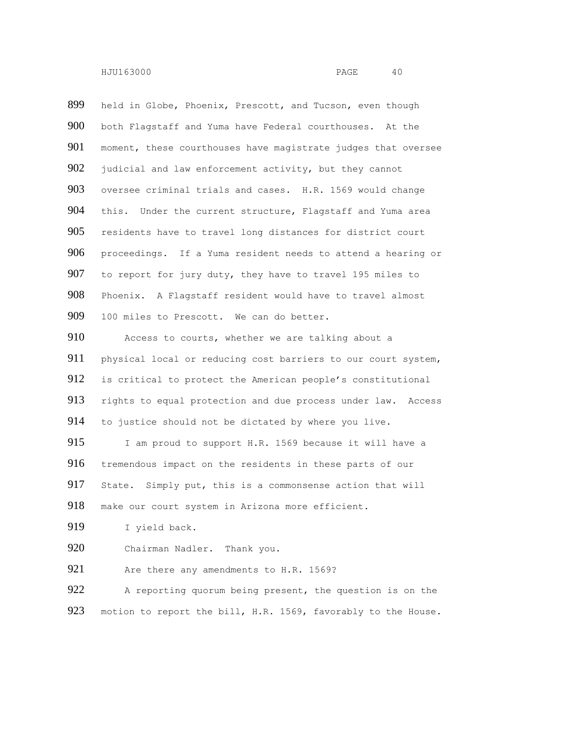held in Globe, Phoenix, Prescott, and Tucson, even though both Flagstaff and Yuma have Federal courthouses. At the moment, these courthouses have magistrate judges that oversee 902 judicial and law enforcement activity, but they cannot 903 oversee criminal trials and cases. H.R. 1569 would change 904 this. Under the current structure, Flagstaff and Yuma area residents have to travel long distances for district court proceedings. If a Yuma resident needs to attend a hearing or to report for jury duty, they have to travel 195 miles to Phoenix. A Flagstaff resident would have to travel almost 909 100 miles to Prescott. We can do better. Access to courts, whether we are talking about a 911 physical local or reducing cost barriers to our court system, is critical to protect the American people's constitutional rights to equal protection and due process under law. Access to justice should not be dictated by where you live. 915 I am proud to support H.R. 1569 because it will have a tremendous impact on the residents in these parts of our State. Simply put, this is a commonsense action that will make our court system in Arizona more efficient. 919 I yield back. Chairman Nadler. Thank you. 921 Are there any amendments to H.R. 1569? 922 A reporting quorum being present, the question is on the

923 motion to report the bill, H.R. 1569, favorably to the House.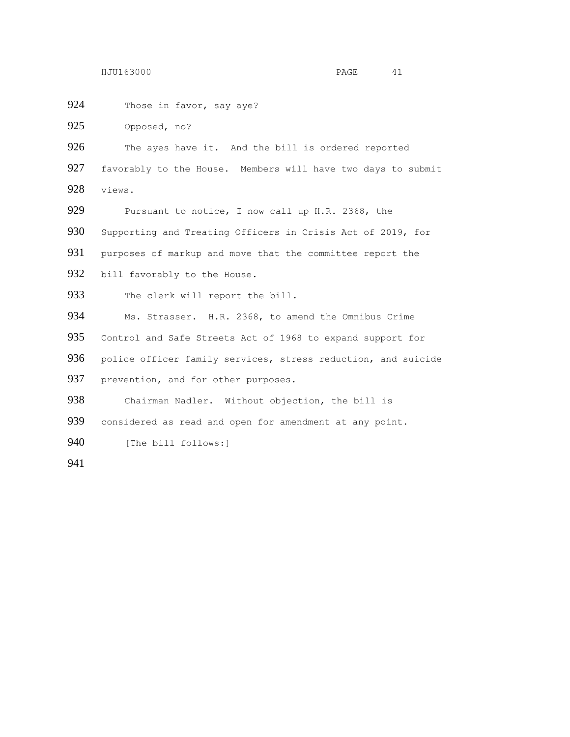924 Those in favor, say aye? 925 Opposed, no? 926 The ayes have it. And the bill is ordered reported 927 favorably to the House. Members will have two days to submit 928 views. 929 Pursuant to notice, I now call up H.R. 2368, the 930 Supporting and Treating Officers in Crisis Act of 2019, for 931 purposes of markup and move that the committee report the 932 bill favorably to the House. 933 The clerk will report the bill. 934 Ms. Strasser. H.R. 2368, to amend the Omnibus Crime 935 Control and Safe Streets Act of 1968 to expand support for 936 police officer family services, stress reduction, and suicide 937 prevention, and for other purposes. 938 Chairman Nadler. Without objection, the bill is 939 considered as read and open for amendment at any point. 940 [The bill follows:] 941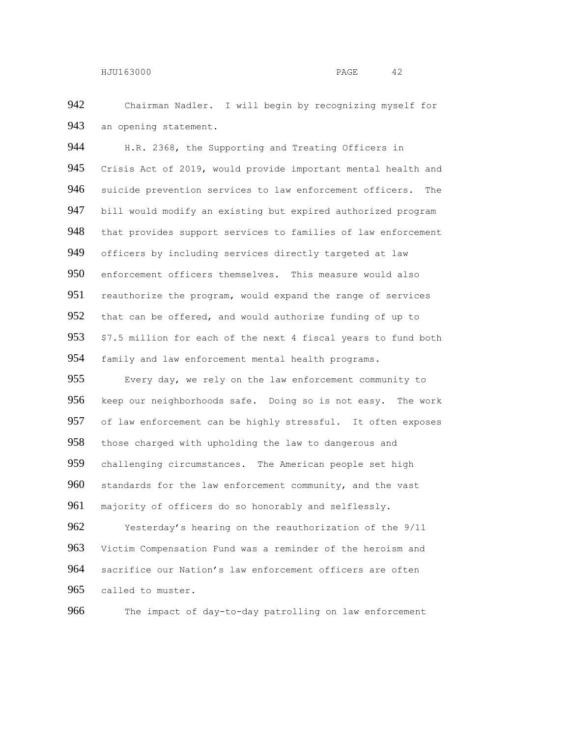Chairman Nadler. I will begin by recognizing myself for 943 an opening statement.

944 H.R. 2368, the Supporting and Treating Officers in Crisis Act of 2019, would provide important mental health and suicide prevention services to law enforcement officers. The 947 bill would modify an existing but expired authorized program that provides support services to families of law enforcement officers by including services directly targeted at law enforcement officers themselves. This measure would also 951 reauthorize the program, would expand the range of services 952 that can be offered, and would authorize funding of up to \$7.5 million for each of the next 4 fiscal years to fund both 954 family and law enforcement mental health programs.

 Every day, we rely on the law enforcement community to keep our neighborhoods safe. Doing so is not easy. The work of law enforcement can be highly stressful. It often exposes 958 those charged with upholding the law to dangerous and challenging circumstances. The American people set high standards for the law enforcement community, and the vast 961 majority of officers do so honorably and selflessly.

 Yesterday's hearing on the reauthorization of the 9/11 Victim Compensation Fund was a reminder of the heroism and sacrifice our Nation's law enforcement officers are often called to muster.

The impact of day-to-day patrolling on law enforcement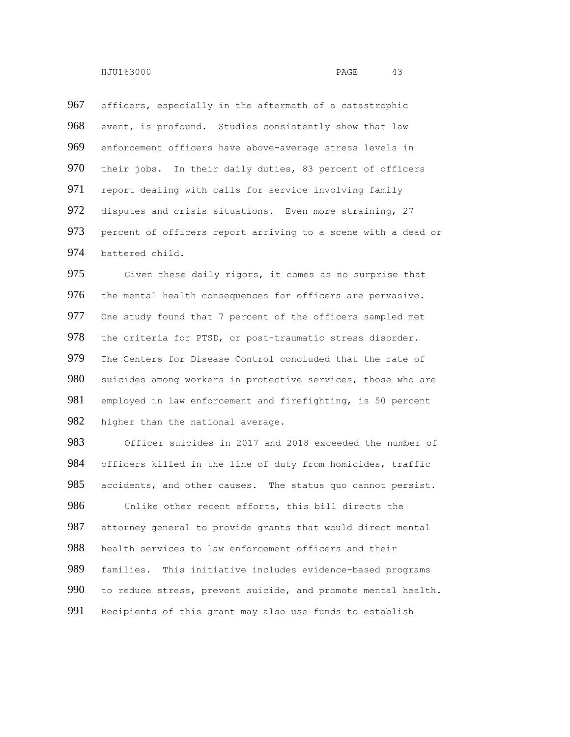967 officers, especially in the aftermath of a catastrophic 968 event, is profound. Studies consistently show that law 969 enforcement officers have above-average stress levels in 970 their jobs. In their daily duties, 83 percent of officers 971 report dealing with calls for service involving family 972 disputes and crisis situations. Even more straining, 27 973 percent of officers report arriving to a scene with a dead or 974 battered child.

975 Given these daily rigors, it comes as no surprise that 976 the mental health consequences for officers are pervasive. 977 One study found that 7 percent of the officers sampled met 978 the criteria for PTSD, or post-traumatic stress disorder. 979 The Centers for Disease Control concluded that the rate of 980 suicides among workers in protective services, those who are 981 employed in law enforcement and firefighting, is 50 percent 982 higher than the national average.

 Officer suicides in 2017 and 2018 exceeded the number of 984 officers killed in the line of duty from homicides, traffic 985 accidents, and other causes. The status quo cannot persist. Unlike other recent efforts, this bill directs the 987 attorney general to provide grants that would direct mental health services to law enforcement officers and their families. This initiative includes evidence-based programs to reduce stress, prevent suicide, and promote mental health. Recipients of this grant may also use funds to establish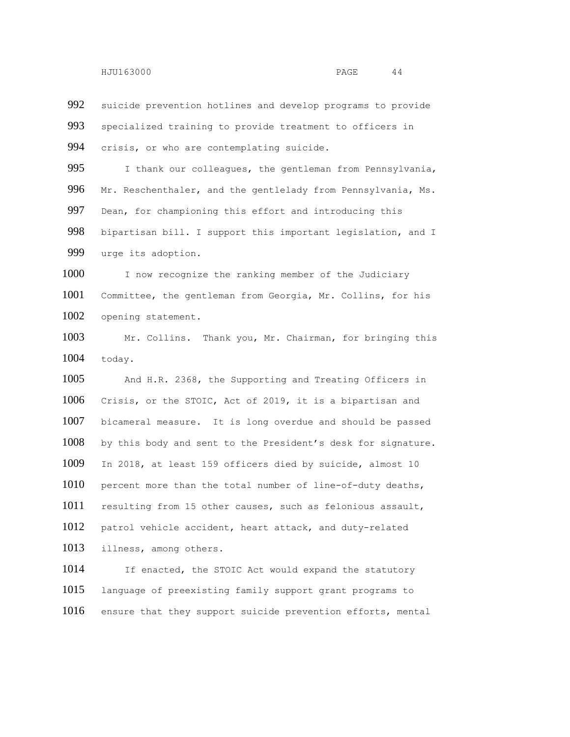suicide prevention hotlines and develop programs to provide specialized training to provide treatment to officers in crisis, or who are contemplating suicide.

995 I thank our colleagues, the gentleman from Pennsylvania, 996 Mr. Reschenthaler, and the gentlelady from Pennsylvania, Ms. Dean, for championing this effort and introducing this bipartisan bill. I support this important legislation, and I urge its adoption.

1000 I now recognize the ranking member of the Judiciary Committee, the gentleman from Georgia, Mr. Collins, for his opening statement.

 Mr. Collins. Thank you, Mr. Chairman, for bringing this today.

 And H.R. 2368, the Supporting and Treating Officers in Crisis, or the STOIC, Act of 2019, it is a bipartisan and bicameral measure. It is long overdue and should be passed by this body and sent to the President's desk for signature. In 2018, at least 159 officers died by suicide, almost 10 1010 percent more than the total number of line-of-duty deaths, resulting from 15 other causes, such as felonious assault, patrol vehicle accident, heart attack, and duty-related illness, among others.

1014 If enacted, the STOIC Act would expand the statutory language of preexisting family support grant programs to ensure that they support suicide prevention efforts, mental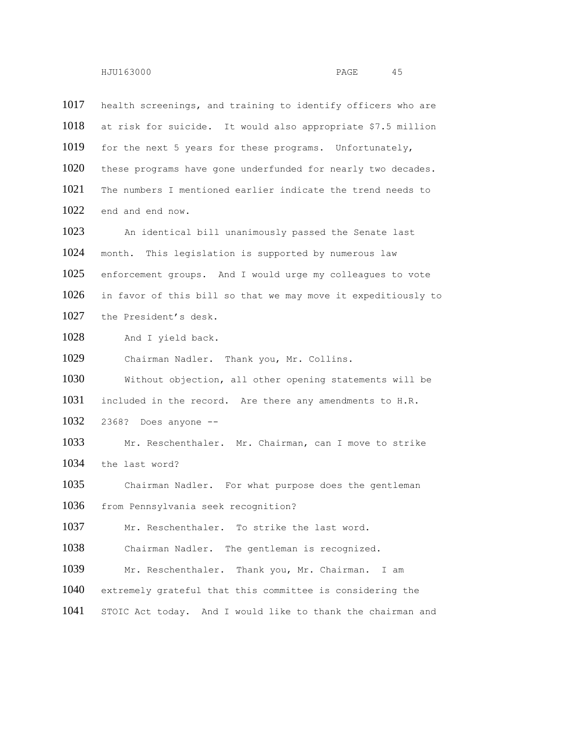health screenings, and training to identify officers who are at risk for suicide. It would also appropriate \$7.5 million 1019 for the next 5 years for these programs. Unfortunately, these programs have gone underfunded for nearly two decades. The numbers I mentioned earlier indicate the trend needs to end and end now. An identical bill unanimously passed the Senate last month. This legislation is supported by numerous law enforcement groups. And I would urge my colleagues to vote in favor of this bill so that we may move it expeditiously to the President's desk. 1028 And I yield back. Chairman Nadler. Thank you, Mr. Collins. Without objection, all other opening statements will be included in the record. Are there any amendments to H.R. 2368? Does anyone -- Mr. Reschenthaler. Mr. Chairman, can I move to strike the last word? Chairman Nadler. For what purpose does the gentleman from Pennsylvania seek recognition? 1037 Mr. Reschenthaler. To strike the last word. Chairman Nadler. The gentleman is recognized. Mr. Reschenthaler. Thank you, Mr. Chairman. I am extremely grateful that this committee is considering the STOIC Act today. And I would like to thank the chairman and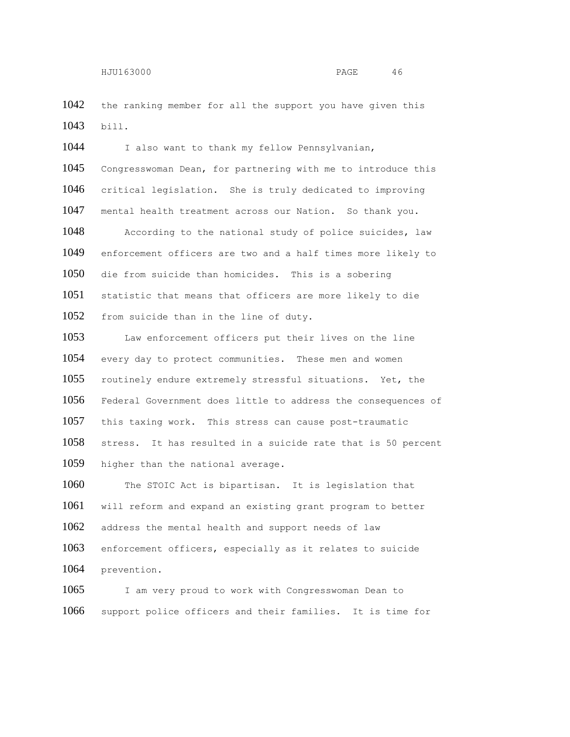1042 the ranking member for all the support you have given this bill.

1044 I also want to thank my fellow Pennsylvanian, Congresswoman Dean, for partnering with me to introduce this critical legislation. She is truly dedicated to improving mental health treatment across our Nation. So thank you. According to the national study of police suicides, law enforcement officers are two and a half times more likely to die from suicide than homicides. This is a sobering statistic that means that officers are more likely to die from suicide than in the line of duty. Law enforcement officers put their lives on the line

 every day to protect communities. These men and women routinely endure extremely stressful situations. Yet, the Federal Government does little to address the consequences of this taxing work. This stress can cause post-traumatic stress. It has resulted in a suicide rate that is 50 percent 1059 higher than the national average.

1060 The STOIC Act is bipartisan. It is legislation that will reform and expand an existing grant program to better address the mental health and support needs of law enforcement officers, especially as it relates to suicide prevention.

1065 I am very proud to work with Congresswoman Dean to support police officers and their families. It is time for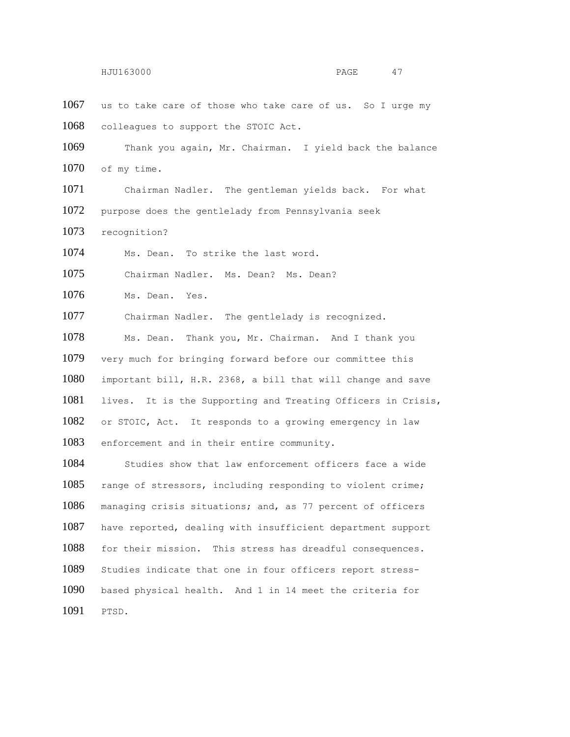1067 us to take care of those who take care of us. So I urge my colleagues to support the STOIC Act.

 Thank you again, Mr. Chairman. I yield back the balance 1070 of my time.

 Chairman Nadler. The gentleman yields back. For what purpose does the gentlelady from Pennsylvania seek

recognition?

Ms. Dean. To strike the last word.

Chairman Nadler. Ms. Dean? Ms. Dean?

1076 Ms. Dean. Yes.

Chairman Nadler. The gentlelady is recognized.

 Ms. Dean. Thank you, Mr. Chairman. And I thank you very much for bringing forward before our committee this important bill, H.R. 2368, a bill that will change and save lives. It is the Supporting and Treating Officers in Crisis, or STOIC, Act. It responds to a growing emergency in law enforcement and in their entire community.

 Studies show that law enforcement officers face a wide range of stressors, including responding to violent crime; managing crisis situations; and, as 77 percent of officers have reported, dealing with insufficient department support for their mission. This stress has dreadful consequences. Studies indicate that one in four officers report stress- based physical health. And 1 in 14 meet the criteria for PTSD.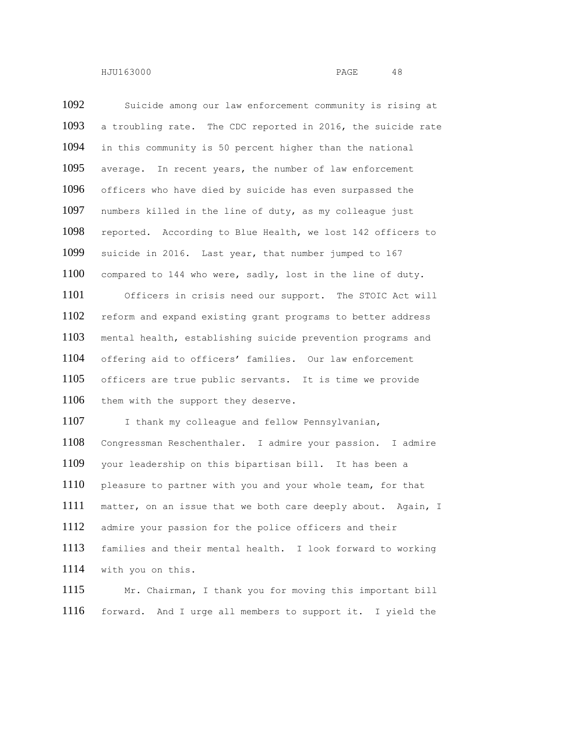Suicide among our law enforcement community is rising at a troubling rate. The CDC reported in 2016, the suicide rate in this community is 50 percent higher than the national average. In recent years, the number of law enforcement officers who have died by suicide has even surpassed the numbers killed in the line of duty, as my colleague just reported. According to Blue Health, we lost 142 officers to suicide in 2016. Last year, that number jumped to 167 compared to 144 who were, sadly, lost in the line of duty. Officers in crisis need our support. The STOIC Act will reform and expand existing grant programs to better address mental health, establishing suicide prevention programs and offering aid to officers' families. Our law enforcement officers are true public servants. It is time we provide 1106 them with the support they deserve. 1107 I thank my colleague and fellow Pennsylvanian, Congressman Reschenthaler. I admire your passion. I admire your leadership on this bipartisan bill. It has been a 1110 pleasure to partner with you and your whole team, for that matter, on an issue that we both care deeply about. Again, I admire your passion for the police officers and their families and their mental health. I look forward to working with you on this.

 Mr. Chairman, I thank you for moving this important bill forward. And I urge all members to support it. I yield the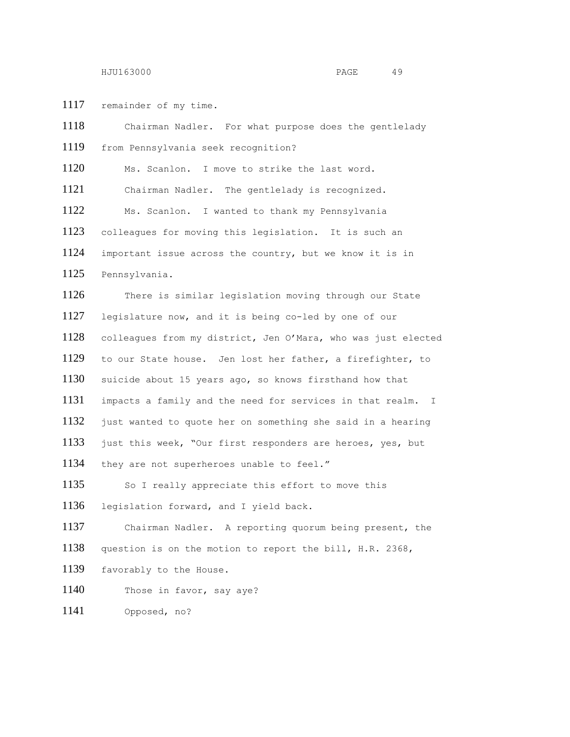remainder of my time.

 Chairman Nadler. For what purpose does the gentlelady from Pennsylvania seek recognition? Ms. Scanlon. I move to strike the last word. Chairman Nadler. The gentlelady is recognized. Ms. Scanlon. I wanted to thank my Pennsylvania colleagues for moving this legislation. It is such an important issue across the country, but we know it is in Pennsylvania. There is similar legislation moving through our State legislature now, and it is being co-led by one of our colleagues from my district, Jen O'Mara, who was just elected to our State house. Jen lost her father, a firefighter, to suicide about 15 years ago, so knows firsthand how that impacts a family and the need for services in that realm. I just wanted to quote her on something she said in a hearing 1133 just this week, "Our first responders are heroes, yes, but they are not superheroes unable to feel." 1135 So I really appreciate this effort to move this legislation forward, and I yield back. Chairman Nadler. A reporting quorum being present, the question is on the motion to report the bill, H.R. 2368, favorably to the House. 1140 Those in favor, say aye? Opposed, no?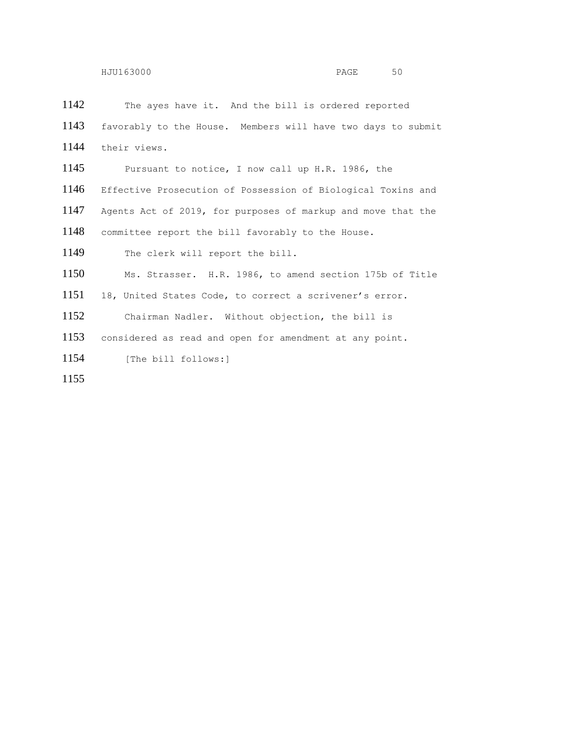The ayes have it. And the bill is ordered reported favorably to the House. Members will have two days to submit their views. Pursuant to notice, I now call up H.R. 1986, the Effective Prosecution of Possession of Biological Toxins and Agents Act of 2019, for purposes of markup and move that the committee report the bill favorably to the House. The clerk will report the bill. Ms. Strasser. H.R. 1986, to amend section 175b of Title 18, United States Code, to correct a scrivener's error. Chairman Nadler. Without objection, the bill is considered as read and open for amendment at any point. [The bill follows:]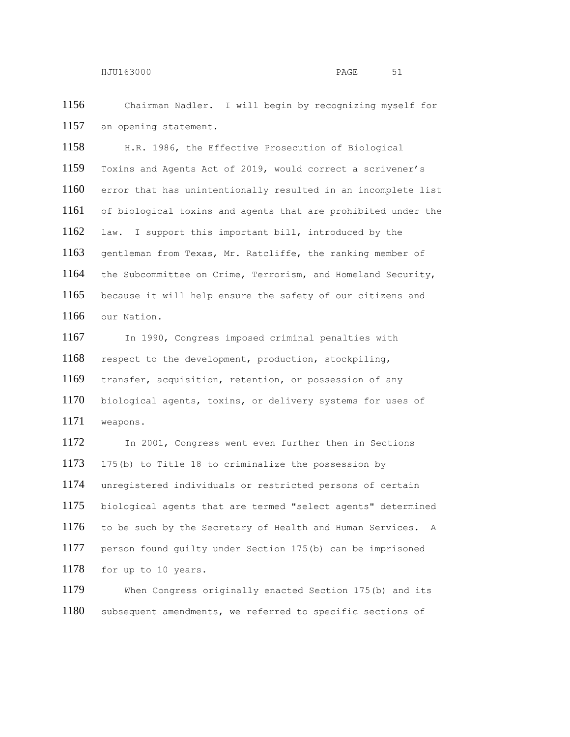Chairman Nadler. I will begin by recognizing myself for 1157 an opening statement.

 H.R. 1986, the Effective Prosecution of Biological Toxins and Agents Act of 2019, would correct a scrivener's error that has unintentionally resulted in an incomplete list of biological toxins and agents that are prohibited under the law. I support this important bill, introduced by the gentleman from Texas, Mr. Ratcliffe, the ranking member of the Subcommittee on Crime, Terrorism, and Homeland Security, because it will help ensure the safety of our citizens and our Nation.

 In 1990, Congress imposed criminal penalties with respect to the development, production, stockpiling, transfer, acquisition, retention, or possession of any biological agents, toxins, or delivery systems for uses of weapons.

 In 2001, Congress went even further then in Sections 175(b) to Title 18 to criminalize the possession by unregistered individuals or restricted persons of certain biological agents that are termed "select agents" determined to be such by the Secretary of Health and Human Services. A person found guilty under Section 175(b) can be imprisoned for up to 10 years.

 When Congress originally enacted Section 175(b) and its subsequent amendments, we referred to specific sections of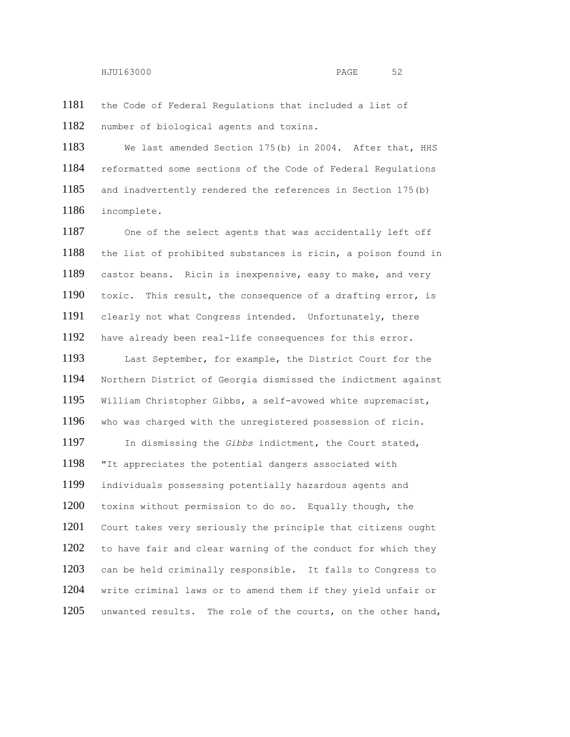the Code of Federal Regulations that included a list of number of biological agents and toxins.

 We last amended Section 175(b) in 2004. After that, HHS reformatted some sections of the Code of Federal Regulations and inadvertently rendered the references in Section 175(b) incomplete.

 One of the select agents that was accidentally left off the list of prohibited substances is ricin, a poison found in castor beans. Ricin is inexpensive, easy to make, and very toxic. This result, the consequence of a drafting error, is clearly not what Congress intended. Unfortunately, there have already been real-life consequences for this error.

 Last September, for example, the District Court for the Northern District of Georgia dismissed the indictment against William Christopher Gibbs, a self-avowed white supremacist, who was charged with the unregistered possession of ricin. In dismissing the *Gibbs* indictment, the Court stated, "It appreciates the potential dangers associated with individuals possessing potentially hazardous agents and toxins without permission to do so. Equally though, the Court takes very seriously the principle that citizens ought 1202 to have fair and clear warning of the conduct for which they can be held criminally responsible. It falls to Congress to write criminal laws or to amend them if they yield unfair or unwanted results. The role of the courts, on the other hand,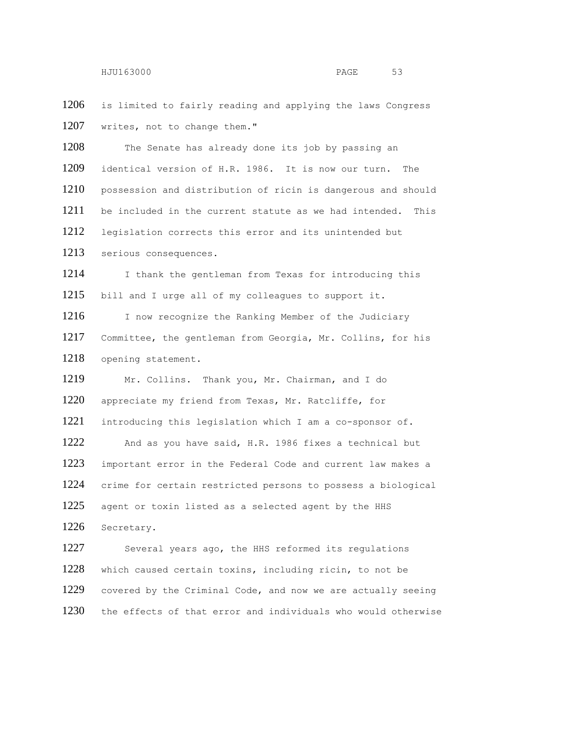1206 is limited to fairly reading and applying the laws Congress 1207 writes, not to change them."

1208 The Senate has already done its job by passing an identical version of H.R. 1986. It is now our turn. The possession and distribution of ricin is dangerous and should be included in the current statute as we had intended. This legislation corrects this error and its unintended but serious consequences.

1214 I thank the gentleman from Texas for introducing this bill and I urge all of my colleagues to support it.

1216 I now recognize the Ranking Member of the Judiciary Committee, the gentleman from Georgia, Mr. Collins, for his opening statement.

 Mr. Collins. Thank you, Mr. Chairman, and I do appreciate my friend from Texas, Mr. Ratcliffe, for introducing this legislation which I am a co-sponsor of. And as you have said, H.R. 1986 fixes a technical but important error in the Federal Code and current law makes a crime for certain restricted persons to possess a biological agent or toxin listed as a selected agent by the HHS Secretary.

 Several years ago, the HHS reformed its regulations which caused certain toxins, including ricin, to not be covered by the Criminal Code, and now we are actually seeing 1230 the effects of that error and individuals who would otherwise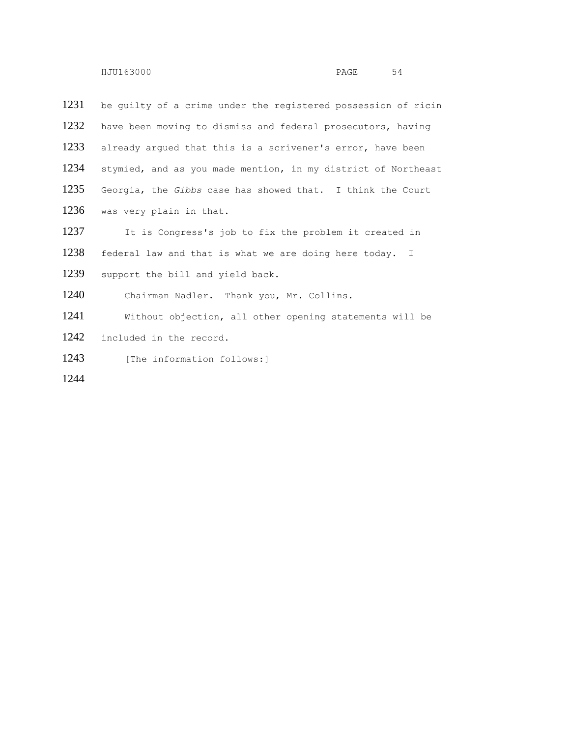be guilty of a crime under the registered possession of ricin have been moving to dismiss and federal prosecutors, having already argued that this is a scrivener's error, have been stymied, and as you made mention, in my district of Northeast Georgia, the *Gibbs* case has showed that. I think the Court was very plain in that. It is Congress's job to fix the problem it created in federal law and that is what we are doing here today. I 1239 support the bill and yield back. Chairman Nadler. Thank you, Mr. Collins. Without objection, all other opening statements will be included in the record. 1243 [The information follows:]